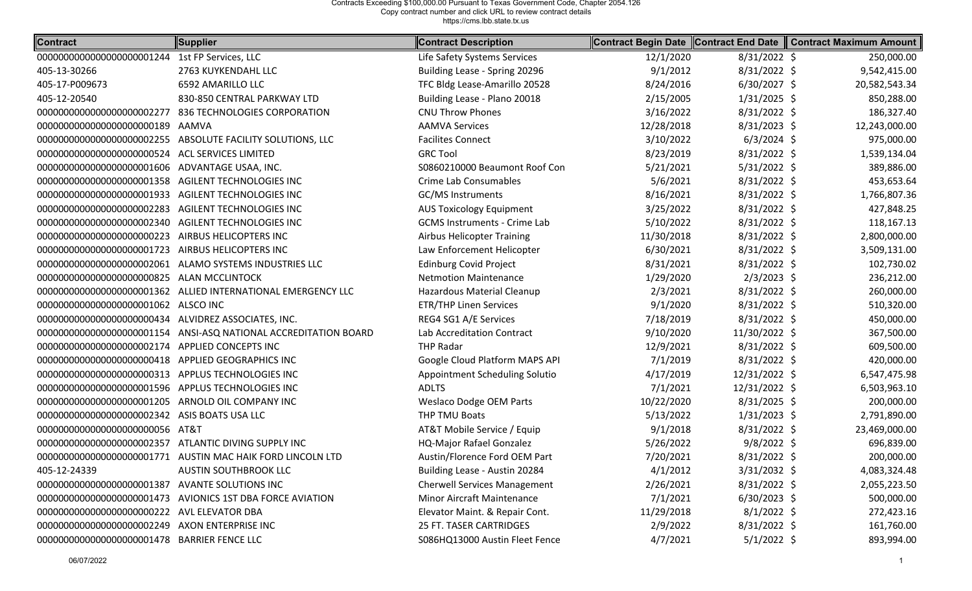| <b>Contract</b>                                       | Supplier                                                        | <b>Contract Description</b>         | Contract Begin Date | Contract End Date | <b>Contract Maximum Amount</b> |
|-------------------------------------------------------|-----------------------------------------------------------------|-------------------------------------|---------------------|-------------------|--------------------------------|
| 0000000000000000000001244                             | 1st FP Services, LLC                                            | Life Safety Systems Services        | 12/1/2020           | 8/31/2022 \$      | 250,000.00                     |
| 405-13-30266                                          | 2763 KUYKENDAHL LLC                                             | Building Lease - Spring 20296       | 9/1/2012            | 8/31/2022 \$      | 9,542,415.00                   |
| 405-17-P009673                                        | 6592 AMARILLO LLC                                               | TFC Bldg Lease-Amarillo 20528       | 8/24/2016           | 6/30/2027 \$      | 20,582,543.34                  |
| 405-12-20540                                          | 830-850 CENTRAL PARKWAY LTD                                     | Building Lease - Plano 20018        | 2/15/2005           | $1/31/2025$ \$    | 850,288.00                     |
| 0000000000000000000002277                             | 836 TECHNOLOGIES CORPORATION                                    | <b>CNU Throw Phones</b>             | 3/16/2022           | 8/31/2022 \$      | 186,327.40                     |
|                                                       | AAMVA                                                           | <b>AAMVA Services</b>               | 12/28/2018          | $8/31/2023$ \$    | 12,243,000.00                  |
|                                                       | 00000000000000000000002255 ABSOLUTE FACILITY SOLUTIONS, LLC     | <b>Facilites Connect</b>            | 3/10/2022           | $6/3/2024$ \$     | 975,000.00                     |
| 00000000000000000000000524 ACL SERVICES LIMITED       |                                                                 | <b>GRC Tool</b>                     | 8/23/2019           | 8/31/2022 \$      | 1,539,134.04                   |
| 000000000000000000000001606 ADVANTAGE USAA, INC.      |                                                                 | S0860210000 Beaumont Roof Con       | 5/21/2021           | 5/31/2022 \$      | 389,886.00                     |
| 00000000000000000000001358 AGILENT TECHNOLOGIES INC   |                                                                 | Crime Lab Consumables               | 5/6/2021            | 8/31/2022 \$      | 453,653.64                     |
| 00000000000000000000001933                            | AGILENT TECHNOLOGIES INC                                        | <b>GC/MS Instruments</b>            | 8/16/2021           | 8/31/2022 \$      | 1,766,807.36                   |
| 0000000000000000000002283                             | AGILENT TECHNOLOGIES INC                                        | <b>AUS Toxicology Equipment</b>     | 3/25/2022           | $8/31/2022$ \$    | 427,848.25                     |
| 0000000000000000000002340                             | AGILENT TECHNOLOGIES INC                                        | <b>GCMS Instruments - Crime Lab</b> | 5/10/2022           | 8/31/2022 \$      | 118,167.13                     |
| 0000000000000000000000223                             | AIRBUS HELICOPTERS INC                                          | <b>Airbus Helicopter Training</b>   | 11/30/2018          | 8/31/2022 \$      | 2,800,000.00                   |
| 0000000000000000000001723                             | AIRBUS HELICOPTERS INC                                          | Law Enforcement Helicopter          | 6/30/2021           | 8/31/2022 \$      | 3,509,131.00                   |
| 00000000000000000000002061                            | ALAMO SYSTEMS INDUSTRIES LLC                                    | <b>Edinburg Covid Project</b>       | 8/31/2021           | 8/31/2022 \$      | 102,730.02                     |
| 0000000000000000000000825                             | <b>ALAN MCCLINTOCK</b>                                          | <b>Netmotion Maintenance</b>        | 1/29/2020           | $2/3/2023$ \$     | 236,212.00                     |
|                                                       | 00000000000000000000001362 ALLIED INTERNATIONAL EMERGENCY LLC   | Hazardous Material Cleanup          | 2/3/2021            | 8/31/2022 \$      | 260,000.00                     |
| 000000000000000000000000000002 ALSCO INC              |                                                                 | <b>ETR/THP Linen Services</b>       | 9/1/2020            | 8/31/2022 \$      | 510,320.00                     |
| 00000000000000000000000434 ALVIDREZ ASSOCIATES, INC.  |                                                                 | REG4 SG1 A/E Services               | 7/18/2019           | 8/31/2022 \$      | 450,000.00                     |
|                                                       | 0000000000000000000001154 ANSI-ASQ NATIONAL ACCREDITATION BOARD | Lab Accreditation Contract          | 9/10/2020           | 11/30/2022 \$     | 367,500.00                     |
| 00000000000000000000002174 APPLIED CONCEPTS INC       |                                                                 | <b>THP Radar</b>                    | 12/9/2021           | $8/31/2022$ \$    | 609,500.00                     |
| 00000000000000000000000418                            | <b>APPLIED GEOGRAPHICS INC</b>                                  | Google Cloud Platform MAPS API      | 7/1/2019            | 8/31/2022 \$      | 420,000.00                     |
| 0000000000000000000000313                             | APPLUS TECHNOLOGIES INC                                         | Appointment Scheduling Solutio      | 4/17/2019           | 12/31/2022 \$     | 6,547,475.98                   |
| 00000000000000000000001596 APPLUS TECHNOLOGIES INC    |                                                                 | <b>ADLTS</b>                        | 7/1/2021            | 12/31/2022 \$     | 6,503,963.10                   |
| 0000000000000000000001205                             | ARNOLD OIL COMPANY INC                                          | <b>Weslaco Dodge OEM Parts</b>      | 10/22/2020          | 8/31/2025 \$      | 200,000.00                     |
| 0000000000000000000002342                             | ASIS BOATS USA LLC                                              | THP TMU Boats                       | 5/13/2022           | $1/31/2023$ \$    | 2,791,890.00                   |
| 0000000000000000000000000056 AT&T                     |                                                                 | AT&T Mobile Service / Equip         | 9/1/2018            | 8/31/2022 \$      | 23,469,000.00                  |
| 00000000000000000000002357 ATLANTIC DIVING SUPPLY INC |                                                                 | HQ-Major Rafael Gonzalez            | 5/26/2022           | $9/8/2022$ \$     | 696,839.00                     |
|                                                       | 00000000000000000000001771 AUSTIN MAC HAIK FORD LINCOLN LTD     | Austin/Florence Ford OEM Part       | 7/20/2021           | 8/31/2022 \$      | 200,000.00                     |
| 405-12-24339                                          | <b>AUSTIN SOUTHBROOK LLC</b>                                    | Building Lease - Austin 20284       | 4/1/2012            | 3/31/2032 \$      | 4,083,324.48                   |
| 0000000000000000000001387                             | <b>AVANTE SOLUTIONS INC</b>                                     | <b>Cherwell Services Management</b> | 2/26/2021           | 8/31/2022 \$      | 2,055,223.50                   |
|                                                       | 00000000000000000000001473 AVIONICS 1ST DBA FORCE AVIATION      | Minor Aircraft Maintenance          | 7/1/2021            | $6/30/2023$ \$    | 500,000.00                     |
| 00000000000000000000000222 AVL ELEVATOR DBA           |                                                                 | Elevator Maint. & Repair Cont.      | 11/29/2018          | $8/1/2022$ \$     | 272,423.16                     |
| 00000000000000000000002249 AXON ENTERPRISE INC        |                                                                 | 25 FT. TASER CARTRIDGES             | 2/9/2022            | 8/31/2022 \$      | 161,760.00                     |
| 00000000000000000000001478 BARRIER FENCE LLC          |                                                                 | S086HQ13000 Austin Fleet Fence      | 4/7/2021            | $5/1/2022$ \$     | 893,994.00                     |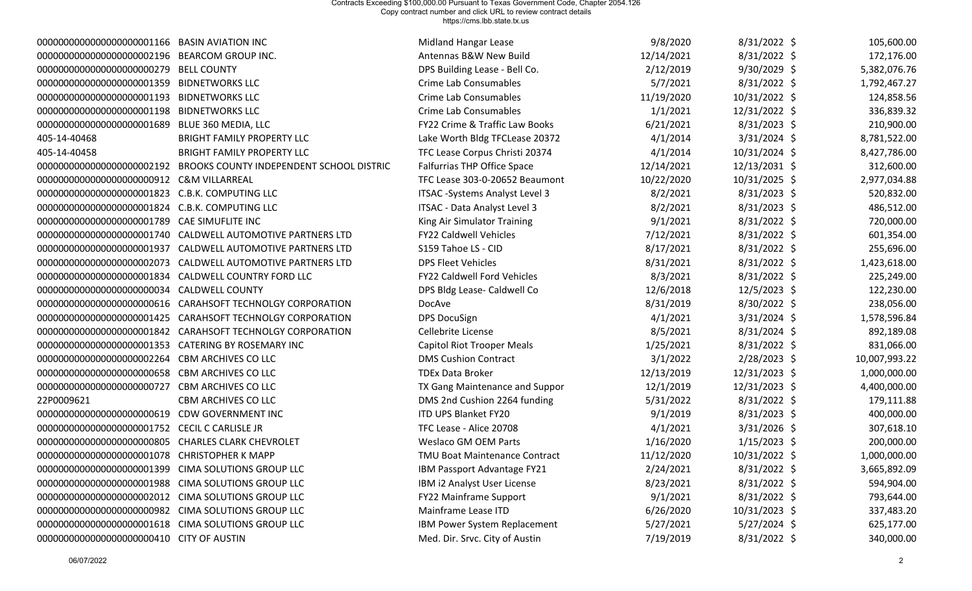| 00000000000000000000001166 BASIN AVIATION INC        |                                                                    | Midland Hangar Lease              | 9/8/2020   | 8/31/2022 \$   | 105,600.00    |
|------------------------------------------------------|--------------------------------------------------------------------|-----------------------------------|------------|----------------|---------------|
| 00000000000000000000002196 BEARCOM GROUP INC.        |                                                                    | Antennas B&W New Build            | 12/14/2021 | 8/31/2022 \$   | 172,176.00    |
| 0000000000000000000000279                            | <b>BELL COUNTY</b>                                                 | DPS Building Lease - Bell Co.     | 2/12/2019  | $9/30/2029$ \$ | 5,382,076.76  |
| 00000000000000000000001359 BIDNETWORKS LLC           |                                                                    | Crime Lab Consumables             | 5/7/2021   | 8/31/2022 \$   | 1,792,467.27  |
| 00000000000000000000001193 BIDNETWORKS LLC           |                                                                    | Crime Lab Consumables             | 11/19/2020 | 10/31/2022 \$  | 124,858.56    |
| 00000000000000000000001198 BIDNETWORKS LLC           |                                                                    | Crime Lab Consumables             | 1/1/2021   | 12/31/2022 \$  | 336,839.32    |
| 00000000000000000000001689 BLUE 360 MEDIA, LLC       |                                                                    | FY22 Crime & Traffic Law Books    | 6/21/2021  | $8/31/2023$ \$ | 210,900.00    |
| 405-14-40468                                         | <b>BRIGHT FAMILY PROPERTY LLC</b>                                  | Lake Worth Bldg TFCLease 20372    | 4/1/2014   | $3/31/2024$ \$ | 8,781,522.00  |
| 405-14-40458                                         | <b>BRIGHT FAMILY PROPERTY LLC</b>                                  | TFC Lease Corpus Christi 20374    | 4/1/2014   | 10/31/2024 \$  | 8,427,786.00  |
|                                                      | 0000000000000000000002192 BROOKS COUNTY INDEPENDENT SCHOOL DISTRIC | Falfurrias THP Office Space       | 12/14/2021 | 12/13/2031 \$  | 312,600.00    |
| 00000000000000000000000912 C&M VILLARREAL            |                                                                    | TFC Lease 303-0-20652 Beaumont    | 10/22/2020 | 10/31/2025 \$  | 2,977,034.88  |
| 00000000000000000000001823 C.B.K. COMPUTING LLC      |                                                                    | ITSAC -Systems Analyst Level 3    | 8/2/2021   | $8/31/2023$ \$ | 520,832.00    |
| 0000000000000000000001824                            | <b>C.B.K. COMPUTING LLC</b>                                        | ITSAC - Data Analyst Level 3      | 8/2/2021   | 8/31/2023 \$   | 486,512.00    |
| 000000000000000000000001789 CAE SIMUFLITE INC        |                                                                    | King Air Simulator Training       | 9/1/2021   | 8/31/2022 \$   | 720,000.00    |
| 00000000000000000000001740                           | CALDWELL AUTOMOTIVE PARTNERS LTD                                   | <b>FY22 Caldwell Vehicles</b>     | 7/12/2021  | 8/31/2022 \$   | 601,354.00    |
| 00000000000000000000001937                           | CALDWELL AUTOMOTIVE PARTNERS LTD                                   | S159 Tahoe LS - CID               | 8/17/2021  | 8/31/2022 \$   | 255,696.00    |
| 0000000000000000000002073                            | CALDWELL AUTOMOTIVE PARTNERS LTD                                   | <b>DPS Fleet Vehicles</b>         | 8/31/2021  | 8/31/2022 \$   | 1,423,618.00  |
| 0000000000000000000001834                            | CALDWELL COUNTRY FORD LLC                                          | FY22 Caldwell Ford Vehicles       | 8/3/2021   | 8/31/2022 \$   | 225,249.00    |
| 00000000000000000000000000034                        | <b>CALDWELL COUNTY</b>                                             | DPS Bldg Lease- Caldwell Co       | 12/6/2018  | 12/5/2023 \$   | 122,230.00    |
| 0000000000000000000000616                            | <b>CARAHSOFT TECHNOLGY CORPORATION</b>                             | DocAve                            | 8/31/2019  | 8/30/2022 \$   | 238,056.00    |
| 0000000000000000000001425                            | <b>CARAHSOFT TECHNOLGY CORPORATION</b>                             | <b>DPS DocuSign</b>               | 4/1/2021   | $3/31/2024$ \$ | 1,578,596.84  |
| 00000000000000000000001842                           | <b>CARAHSOFT TECHNOLGY CORPORATION</b>                             | Cellebrite License                | 8/5/2021   | 8/31/2024 \$   | 892,189.08    |
| 00000000000000000000001353                           | <b>CATERING BY ROSEMARY INC</b>                                    | <b>Capitol Riot Trooper Meals</b> | 1/25/2021  | 8/31/2022 \$   | 831,066.00    |
| 0000000000000000000002264                            | <b>CBM ARCHIVES CO LLC</b>                                         | <b>DMS Cushion Contract</b>       | 3/1/2022   | 2/28/2023 \$   | 10,007,993.22 |
| 0000000000000000000000658                            | CBM ARCHIVES CO LLC                                                | <b>TDEx Data Broker</b>           | 12/13/2019 | 12/31/2023 \$  | 1,000,000.00  |
| 00000000000000000000000727                           | <b>CBM ARCHIVES CO LLC</b>                                         | TX Gang Maintenance and Suppor    | 12/1/2019  | 12/31/2023 \$  | 4,400,000.00  |
| 22P0009621                                           | <b>CBM ARCHIVES CO LLC</b>                                         | DMS 2nd Cushion 2264 funding      | 5/31/2022  | 8/31/2022 \$   | 179,111.88    |
| 0000000000000000000000619                            | <b>CDW GOVERNMENT INC</b>                                          | <b>ITD UPS Blanket FY20</b>       | 9/1/2019   | 8/31/2023 \$   | 400,000.00    |
| 00000000000000000000001752                           | <b>CECIL C CARLISLE JR</b>                                         | TFC Lease - Alice 20708           | 4/1/2021   | $3/31/2026$ \$ | 307,618.10    |
| 0000000000000000000000000005 CHARLES CLARK CHEVROLET |                                                                    | <b>Weslaco GM OEM Parts</b>       | 1/16/2020  | $1/15/2023$ \$ | 200,000.00    |
| 00000000000000000000001078 CHRISTOPHER K MAPP        |                                                                    | TMU Boat Maintenance Contract     | 11/12/2020 | 10/31/2022 \$  | 1,000,000.00  |
| 000000000000000000000001399 CIMA SOLUTIONS GROUP LLC |                                                                    | IBM Passport Advantage FY21       | 2/24/2021  | $8/31/2022$ \$ | 3,665,892.09  |
| 000000000000000000000001988 CIMA SOLUTIONS GROUP LLC |                                                                    | IBM i2 Analyst User License       | 8/23/2021  | 8/31/2022 \$   | 594,904.00    |
| 00000000000000000000002012 CIMA SOLUTIONS GROUP LLC  |                                                                    | <b>FY22 Mainframe Support</b>     | 9/1/2021   | 8/31/2022 \$   | 793,644.00    |
| 0000000000000000000000982 CIMA SOLUTIONS GROUP LLC   |                                                                    | Mainframe Lease ITD               | 6/26/2020  | 10/31/2023 \$  | 337,483.20    |
| 000000000000000000000001618 CIMA SOLUTIONS GROUP LLC |                                                                    | IBM Power System Replacement      | 5/27/2021  | $5/27/2024$ \$ | 625,177.00    |
| 00000000000000000000000410 CITY OF AUSTIN            |                                                                    | Med. Dir. Srvc. City of Austin    | 7/19/2019  | $8/31/2022$ \$ | 340,000.00    |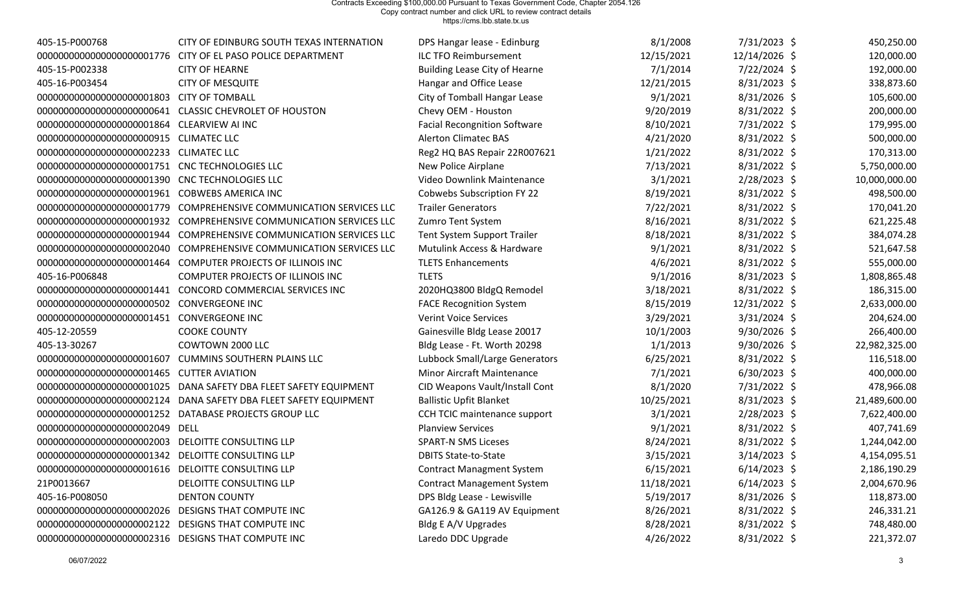| 405-15-P000768                                      | CITY OF EDINBURG SOUTH TEXAS INTERNATION                           | DPS Hangar lease - Edinburg          | 8/1/2008   | 7/31/2023 \$   | 450,250.00    |
|-----------------------------------------------------|--------------------------------------------------------------------|--------------------------------------|------------|----------------|---------------|
| 0000000000000000000001776                           | CITY OF EL PASO POLICE DEPARTMENT                                  | <b>ILC TFO Reimbursement</b>         | 12/15/2021 | 12/14/2026 \$  | 120,000.00    |
| 405-15-P002338                                      | <b>CITY OF HEARNE</b>                                              | <b>Building Lease City of Hearne</b> | 7/1/2014   | 7/22/2024 \$   | 192,000.00    |
| 405-16-P003454                                      | <b>CITY OF MESQUITE</b>                                            | Hangar and Office Lease              | 12/21/2015 | $8/31/2023$ \$ | 338,873.60    |
| 0000000000000000000001803                           | <b>CITY OF TOMBALL</b>                                             | City of Tomball Hangar Lease         | 9/1/2021   | 8/31/2026 \$   | 105,600.00    |
|                                                     | 00000000000000000000000641 CLASSIC CHEVROLET OF HOUSTON            | Chevy OEM - Houston                  | 9/20/2019  | 8/31/2022 \$   | 200,000.00    |
| 000000000000000000000001864 CLEARVIEW AI INC        |                                                                    | <b>Facial Recongnition Software</b>  | 8/10/2021  | 7/31/2022 \$   | 179,995.00    |
| 00000000000000000000000915 CLIMATEC LLC             |                                                                    | <b>Alerton Climatec BAS</b>          | 4/21/2020  | 8/31/2022 \$   | 500,000.00    |
| 00000000000000000000002233 CLIMATEC LLC             |                                                                    | Reg2 HQ BAS Repair 22R007621         | 1/21/2022  | $8/31/2022$ \$ | 170,313.00    |
| 000000000000000000000001751 CNC TECHNOLOGIES LLC    |                                                                    | New Police Airplane                  | 7/13/2021  | $8/31/2022$ \$ | 5,750,000.00  |
| 000000000000000000000001390 CNC TECHNOLOGIES LLC    |                                                                    | Video Downlink Maintenance           | 3/1/2021   | $2/28/2023$ \$ | 10,000,000.00 |
| 000000000000000000000001961 COBWEBS AMERICA INC     |                                                                    | Cobwebs Subscription FY 22           | 8/19/2021  | 8/31/2022 \$   | 498,500.00    |
| 00000000000000000000001779                          | COMPREHENSIVE COMMUNICATION SERVICES LLC                           | <b>Trailer Generators</b>            | 7/22/2021  | 8/31/2022 \$   | 170,041.20    |
| 0000000000000000000001932                           | COMPREHENSIVE COMMUNICATION SERVICES LLC                           | Zumro Tent System                    | 8/16/2021  | $8/31/2022$ \$ | 621,225.48    |
|                                                     | 0000000000000000000001944 COMPREHENSIVE COMMUNICATION SERVICES LLC | <b>Tent System Support Trailer</b>   | 8/18/2021  | $8/31/2022$ \$ | 384,074.28    |
| 0000000000000000000002040                           | <b>COMPREHENSIVE COMMUNICATION SERVICES LLC</b>                    | Mutulink Access & Hardware           | 9/1/2021   | 8/31/2022 \$   | 521,647.58    |
| 0000000000000000000001464                           | COMPUTER PROJECTS OF ILLINOIS INC                                  | <b>TLETS Enhancements</b>            | 4/6/2021   | 8/31/2022 \$   | 555,000.00    |
| 405-16-P006848                                      | COMPUTER PROJECTS OF ILLINOIS INC                                  | <b>TLETS</b>                         | 9/1/2016   | $8/31/2023$ \$ | 1,808,865.48  |
| 0000000000000000000001441                           | CONCORD COMMERCIAL SERVICES INC                                    | 2020HQ3800 BldgQ Remodel             | 3/18/2021  | 8/31/2022 \$   | 186,315.00    |
| 00000000000000000000000502 CONVERGEONE INC          |                                                                    | <b>FACE Recognition System</b>       | 8/15/2019  | 12/31/2022 \$  | 2,633,000.00  |
| 00000000000000000000001451 CONVERGEONE INC          |                                                                    | <b>Verint Voice Services</b>         | 3/29/2021  | $3/31/2024$ \$ | 204,624.00    |
| 405-12-20559                                        | <b>COOKE COUNTY</b>                                                | Gainesville Bldg Lease 20017         | 10/1/2003  | 9/30/2026 \$   | 266,400.00    |
| 405-13-30267                                        | COWTOWN 2000 LLC                                                   | Bldg Lease - Ft. Worth 20298         | 1/1/2013   | $9/30/2026$ \$ | 22,982,325.00 |
| 0000000000000000000001607                           | <b>CUMMINS SOUTHERN PLAINS LLC</b>                                 | Lubbock Small/Large Generators       | 6/25/2021  | $8/31/2022$ \$ | 116,518.00    |
| 00000000000000000000001465 CUTTER AVIATION          |                                                                    | <b>Minor Aircraft Maintenance</b>    | 7/1/2021   | $6/30/2023$ \$ | 400,000.00    |
|                                                     | DANA SAFETY DBA FLEET SAFETY EQUIPMENT                             | CID Weapons Vault/Install Cont       | 8/1/2020   | 7/31/2022 \$   | 478,966.08    |
|                                                     | 0000000000000000000002124 DANA SAFETY DBA FLEET SAFETY EQUIPMENT   | <b>Ballistic Upfit Blanket</b>       | 10/25/2021 | $8/31/2023$ \$ | 21,489,600.00 |
|                                                     | 00000000000000000000001252 DATABASE PROJECTS GROUP LLC             | CCH TCIC maintenance support         | 3/1/2021   | $2/28/2023$ \$ | 7,622,400.00  |
| 00000000000000000000002049 DELL                     |                                                                    | <b>Planview Services</b>             | 9/1/2021   | 8/31/2022 \$   | 407,741.69    |
| 0000000000000000000002003                           | DELOITTE CONSULTING LLP                                            | <b>SPART-N SMS Liceses</b>           | 8/24/2021  | $8/31/2022$ \$ | 1,244,042.00  |
| 000000000000000000000001342 DELOITTE CONSULTING LLP |                                                                    | <b>DBITS State-to-State</b>          | 3/15/2021  | $3/14/2023$ \$ | 4,154,095.51  |
| 0000000000000000000001616                           | DELOITTE CONSULTING LLP                                            | <b>Contract Managment System</b>     | 6/15/2021  | $6/14/2023$ \$ | 2,186,190.29  |
| 21P0013667                                          | DELOITTE CONSULTING LLP                                            | <b>Contract Management System</b>    | 11/18/2021 | $6/14/2023$ \$ | 2,004,670.96  |
| 405-16-P008050                                      | <b>DENTON COUNTY</b>                                               | DPS Bldg Lease - Lewisville          | 5/19/2017  | $8/31/2026$ \$ | 118,873.00    |
| 0000000000000000000002026                           | DESIGNS THAT COMPUTE INC                                           | GA126.9 & GA119 AV Equipment         | 8/26/2021  | 8/31/2022 \$   | 246,331.21    |
| 00000000000000000000002122 DESIGNS THAT COMPUTE INC |                                                                    | Bldg E A/V Upgrades                  | 8/28/2021  | $8/31/2022$ \$ | 748,480.00    |
| 0000000000000000000002316 DESIGNS THAT COMPUTE INC  |                                                                    | Laredo DDC Upgrade                   | 4/26/2022  | 8/31/2022 \$   | 221,372.07    |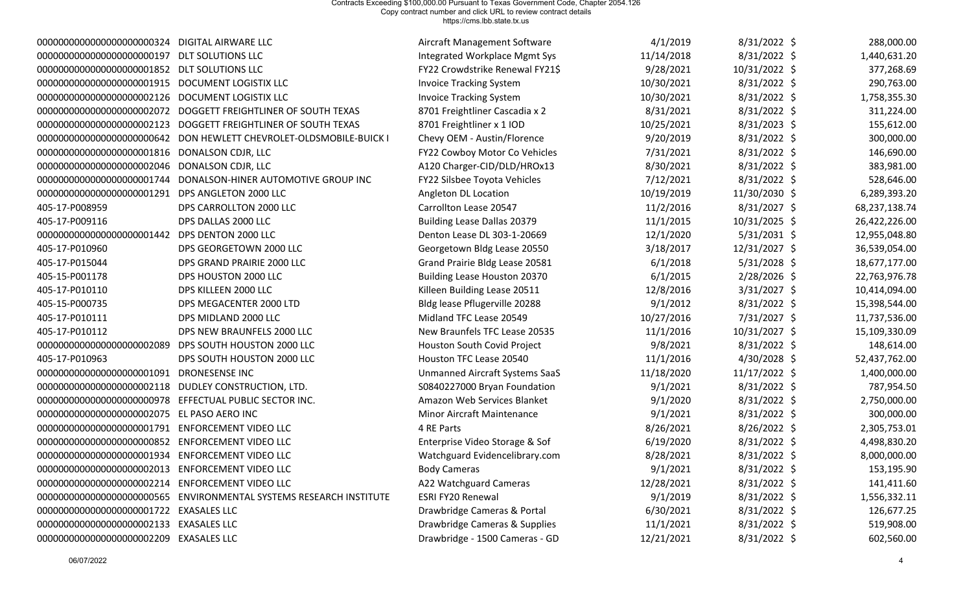| 0000000000000000000000324                         | DIGITAL AIRWARE LLC                                                 | Aircraft Management Software          | 4/1/2019   | $8/31/2022$ \$ | 288,000.00    |
|---------------------------------------------------|---------------------------------------------------------------------|---------------------------------------|------------|----------------|---------------|
|                                                   | <b>DLT SOLUTIONS LLC</b>                                            | Integrated Workplace Mgmt Sys         | 11/14/2018 | $8/31/2022$ \$ | 1,440,631.20  |
| 0000000000000000000001852                         | <b>DLT SOLUTIONS LLC</b>                                            | FY22 Crowdstrike Renewal FY21\$       | 9/28/2021  | 10/31/2022 \$  | 377,268.69    |
| 00000000000000000000001915 DOCUMENT LOGISTIX LLC  |                                                                     | <b>Invoice Tracking System</b>        | 10/30/2021 | $8/31/2022$ \$ | 290,763.00    |
| 0000000000000000000002126                         | DOCUMENT LOGISTIX LLC                                               | <b>Invoice Tracking System</b>        | 10/30/2021 | 8/31/2022 \$   | 1,758,355.30  |
| 0000000000000000000002072                         | DOGGETT FREIGHTLINER OF SOUTH TEXAS                                 | 8701 Freightliner Cascadia x 2        | 8/31/2021  | 8/31/2022 \$   | 311,224.00    |
| 0000000000000000000002123                         | DOGGETT FREIGHTLINER OF SOUTH TEXAS                                 | 8701 Freightliner x 1 IOD             | 10/25/2021 | $8/31/2023$ \$ | 155,612.00    |
| 0000000000000000000000642                         | DON HEWLETT CHEVROLET-OLDSMOBILE-BUICK I                            | Chevy OEM - Austin/Florence           | 9/20/2019  | $8/31/2022$ \$ | 300,000.00    |
| 00000000000000000000001816                        | DONALSON CDJR, LLC                                                  | FY22 Cowboy Motor Co Vehicles         | 7/31/2021  | 8/31/2022 \$   | 146,690.00    |
| 0000000000000000000002046                         | DONALSON CDJR, LLC                                                  | A120 Charger-CID/DLD/HROx13           | 8/30/2021  | $8/31/2022$ \$ | 383,981.00    |
| 00000000000000000000001744                        | DONALSON-HINER AUTOMOTIVE GROUP INC                                 | FY22 Silsbee Toyota Vehicles          | 7/12/2021  | 8/31/2022 \$   | 528,646.00    |
| 0000000000000000000001291                         | DPS ANGLETON 2000 LLC                                               | Angleton DL Location                  | 10/19/2019 | 11/30/2030 \$  | 6,289,393.20  |
| 405-17-P008959                                    | DPS CARROLLTON 2000 LLC                                             | Carrollton Lease 20547                | 11/2/2016  | $8/31/2027$ \$ | 68,237,138.74 |
| 405-17-P009116                                    | DPS DALLAS 2000 LLC                                                 | Building Lease Dallas 20379           | 11/1/2015  | 10/31/2025 \$  | 26,422,226.00 |
| 00000000000000000000001442 DPS DENTON 2000 LLC    |                                                                     | Denton Lease DL 303-1-20669           | 12/1/2020  | $5/31/2031$ \$ | 12,955,048.80 |
| 405-17-P010960                                    | DPS GEORGETOWN 2000 LLC                                             | Georgetown Bldg Lease 20550           | 3/18/2017  | 12/31/2027 \$  | 36,539,054.00 |
| 405-17-P015044                                    | DPS GRAND PRAIRIE 2000 LLC                                          | Grand Prairie Bldg Lease 20581        | 6/1/2018   | $5/31/2028$ \$ | 18,677,177.00 |
| 405-15-P001178                                    | DPS HOUSTON 2000 LLC                                                | <b>Building Lease Houston 20370</b>   | 6/1/2015   | $2/28/2026$ \$ | 22,763,976.78 |
| 405-17-P010110                                    | DPS KILLEEN 2000 LLC                                                | Killeen Building Lease 20511          | 12/8/2016  | $3/31/2027$ \$ | 10,414,094.00 |
| 405-15-P000735                                    | DPS MEGACENTER 2000 LTD                                             | Bldg lease Pflugerville 20288         | 9/1/2012   | 8/31/2022 \$   | 15,398,544.00 |
| 405-17-P010111                                    | DPS MIDLAND 2000 LLC                                                | Midland TFC Lease 20549               | 10/27/2016 | 7/31/2027 \$   | 11,737,536.00 |
| 405-17-P010112                                    | DPS NEW BRAUNFELS 2000 LLC                                          | New Braunfels TFC Lease 20535         | 11/1/2016  | 10/31/2027 \$  | 15,109,330.09 |
| 0000000000000000000002089                         | DPS SOUTH HOUSTON 2000 LLC                                          | Houston South Covid Project           | 9/8/2021   | $8/31/2022$ \$ | 148,614.00    |
| 405-17-P010963                                    | DPS SOUTH HOUSTON 2000 LLC                                          | Houston TFC Lease 20540               | 11/1/2016  | $4/30/2028$ \$ | 52,437,762.00 |
| 00000000000000000000001091                        | <b>DRONESENSE INC</b>                                               | <b>Unmanned Aircraft Systems SaaS</b> | 11/18/2020 | 11/17/2022 \$  | 1,400,000.00  |
| 0000000000000000000002118                         | DUDLEY CONSTRUCTION, LTD.                                           | S0840227000 Bryan Foundation          | 9/1/2021   | 8/31/2022 \$   | 787,954.50    |
| 0000000000000000000000978                         | EFFECTUAL PUBLIC SECTOR INC.                                        | Amazon Web Services Blanket           | 9/1/2020   | $8/31/2022$ \$ | 2,750,000.00  |
| 00000000000000000000002075 EL PASO AERO INC       |                                                                     | <b>Minor Aircraft Maintenance</b>     | 9/1/2021   | $8/31/2022$ \$ | 300,000.00    |
| 00000000000000000000001791                        | <b>ENFORCEMENT VIDEO LLC</b>                                        | 4 RE Parts                            | 8/26/2021  | 8/26/2022 \$   | 2,305,753.01  |
| 0000000000000000000000852                         | <b>ENFORCEMENT VIDEO LLC</b>                                        | Enterprise Video Storage & Sof        | 6/19/2020  | 8/31/2022 \$   | 4,498,830.20  |
| 000000000000000000000001934 ENFORCEMENT VIDEO LLC |                                                                     | Watchguard Evidencelibrary.com        | 8/28/2021  | 8/31/2022 \$   | 8,000,000.00  |
| 00000000000000000000002013 ENFORCEMENT VIDEO LLC  |                                                                     | <b>Body Cameras</b>                   | 9/1/2021   | $8/31/2022$ \$ | 153,195.90    |
| 00000000000000000000002214 ENFORCEMENT VIDEO LLC  |                                                                     | A22 Watchguard Cameras                | 12/28/2021 | $8/31/2022$ \$ | 141,411.60    |
|                                                   | 00000000000000000000000565 ENVIRONMENTAL SYSTEMS RESEARCH INSTITUTE | <b>ESRI FY20 Renewal</b>              | 9/1/2019   | $8/31/2022$ \$ | 1,556,332.11  |
| 000000000000000000000001722 EXASALES LLC          |                                                                     | Drawbridge Cameras & Portal           | 6/30/2021  | $8/31/2022$ \$ | 126,677.25    |
| 00000000000000000000002133 EXASALES LLC           |                                                                     | Drawbridge Cameras & Supplies         | 11/1/2021  | $8/31/2022$ \$ | 519,908.00    |
| 00000000000000000000002209 EXASALES LLC           |                                                                     | Drawbridge - 1500 Cameras - GD        | 12/21/2021 | 8/31/2022 \$   | 602,560.00    |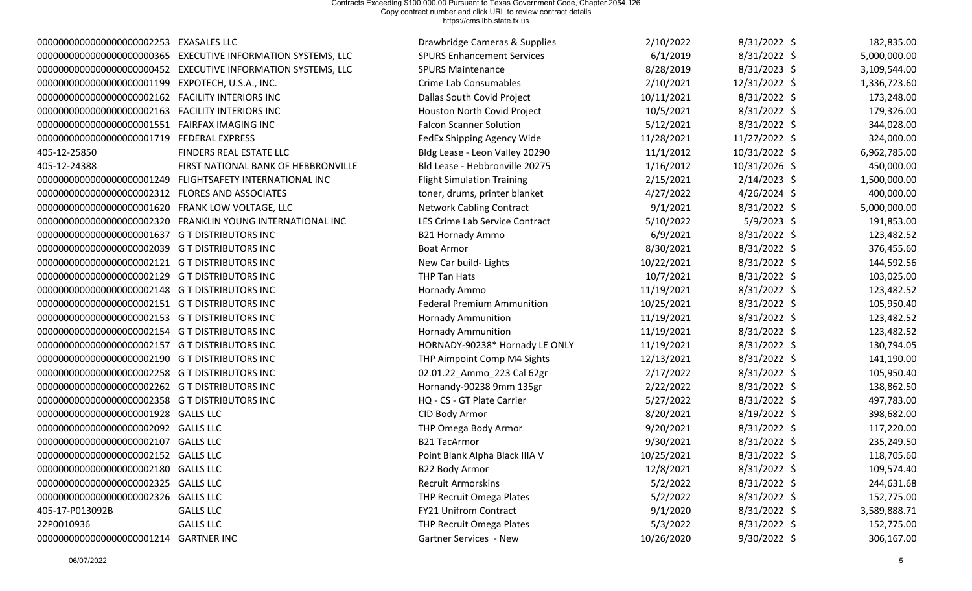| 00000000000000000000002253 EXASALES LLC           |                                                                 | Drawbridge Cameras & Supplies     | 2/10/2022  | 8/31/2022 \$   | 182,835.00   |
|---------------------------------------------------|-----------------------------------------------------------------|-----------------------------------|------------|----------------|--------------|
|                                                   | 00000000000000000000000365 EXECUTIVE INFORMATION SYSTEMS, LLC   | <b>SPURS Enhancement Services</b> | 6/1/2019   | $8/31/2022$ \$ | 5,000,000.00 |
|                                                   | 0000000000000000000000000452 EXECUTIVE INFORMATION SYSTEMS, LLC | <b>SPURS Maintenance</b>          | 8/28/2019  | $8/31/2023$ \$ | 3,109,544.00 |
| 00000000000000000000001199 EXPOTECH, U.S.A., INC. |                                                                 | <b>Crime Lab Consumables</b>      | 2/10/2021  | 12/31/2022 \$  | 1,336,723.60 |
|                                                   |                                                                 | Dallas South Covid Project        | 10/11/2021 | $8/31/2022$ \$ | 173,248.00   |
|                                                   |                                                                 | Houston North Covid Project       | 10/5/2021  | 8/31/2022 \$   | 179,326.00   |
| 00000000000000000000001551 FAIRFAX IMAGING INC    |                                                                 | <b>Falcon Scanner Solution</b>    | 5/12/2021  | 8/31/2022 \$   | 344,028.00   |
| 00000000000000000000001719 FEDERAL EXPRESS        |                                                                 | FedEx Shipping Agency Wide        | 11/28/2021 | 11/27/2022 \$  | 324,000.00   |
| 405-12-25850                                      | FINDERS REAL ESTATE LLC                                         | Bldg Lease - Leon Valley 20290    | 11/1/2012  | 10/31/2022 \$  | 6,962,785.00 |
| 405-12-24388                                      | FIRST NATIONAL BANK OF HEBBRONVILLE                             | Bld Lease - Hebbronville 20275    | 1/16/2012  | 10/31/2026 \$  | 450,000.00   |
|                                                   | 00000000000000000000001249 FLIGHTSAFETY INTERNATIONAL INC       | <b>Flight Simulation Training</b> | 2/15/2021  | $2/14/2023$ \$ | 1,500,000.00 |
| 00000000000000000000002312 FLORES AND ASSOCIATES  |                                                                 | toner, drums, printer blanket     | 4/27/2022  | $4/26/2024$ \$ | 400,000.00   |
| 00000000000000000000001620 FRANK LOW VOLTAGE, LLC |                                                                 | <b>Network Cabling Contract</b>   | 9/1/2021   | $8/31/2022$ \$ | 5,000,000.00 |
|                                                   | 0000000000000000000002320 FRANKLIN YOUNG INTERNATIONAL INC      | LES Crime Lab Service Contract    | 5/10/2022  | $5/9/2023$ \$  | 191,853.00   |
| 000000000000000000000001637 G T DISTRIBUTORS INC  |                                                                 | <b>B21 Hornady Ammo</b>           | 6/9/2021   | $8/31/2022$ \$ | 123,482.52   |
| 00000000000000000000002039 G T DISTRIBUTORS INC   |                                                                 | <b>Boat Armor</b>                 | 8/30/2021  | 8/31/2022 \$   | 376,455.60   |
| 00000000000000000000002121 G T DISTRIBUTORS INC   |                                                                 | New Car build- Lights             | 10/22/2021 | 8/31/2022 \$   | 144,592.56   |
| 00000000000000000000002129 G T DISTRIBUTORS INC   |                                                                 | THP Tan Hats                      | 10/7/2021  | 8/31/2022 \$   | 103,025.00   |
| 00000000000000000000002148 G T DISTRIBUTORS INC   |                                                                 | Hornady Ammo                      | 11/19/2021 | $8/31/2022$ \$ | 123,482.52   |
| 00000000000000000000002151 G T DISTRIBUTORS INC   |                                                                 | <b>Federal Premium Ammunition</b> | 10/25/2021 | $8/31/2022$ \$ | 105,950.40   |
| 00000000000000000000002153 G T DISTRIBUTORS INC   |                                                                 | <b>Hornady Ammunition</b>         | 11/19/2021 | 8/31/2022 \$   | 123,482.52   |
| 00000000000000000000002154 G T DISTRIBUTORS INC   |                                                                 | <b>Hornady Ammunition</b>         | 11/19/2021 | 8/31/2022 \$   | 123,482.52   |
| 00000000000000000000002157 G T DISTRIBUTORS INC   |                                                                 | HORNADY-90238* Hornady LE ONLY    | 11/19/2021 | $8/31/2022$ \$ | 130,794.05   |
| 00000000000000000000002190 G T DISTRIBUTORS INC   |                                                                 | THP Aimpoint Comp M4 Sights       | 12/13/2021 | 8/31/2022 \$   | 141,190.00   |
| 00000000000000000000002258 G T DISTRIBUTORS INC   |                                                                 | 02.01.22_Ammo_223 Cal 62gr        | 2/17/2022  | $8/31/2022$ \$ | 105,950.40   |
| 00000000000000000000002262 G T DISTRIBUTORS INC   |                                                                 | Hornandy-90238 9mm 135gr          | 2/22/2022  | 8/31/2022 \$   | 138,862.50   |
| 00000000000000000000002358 G T DISTRIBUTORS INC   |                                                                 | HQ - CS - GT Plate Carrier        | 5/27/2022  | 8/31/2022 \$   | 497,783.00   |
| 000000000000000000000001928 GALLS LLC             |                                                                 | CID Body Armor                    | 8/20/2021  | $8/19/2022$ \$ | 398,682.00   |
| 000000000000000000000002092 GALLS LLC             |                                                                 | THP Omega Body Armor              | 9/20/2021  | $8/31/2022$ \$ | 117,220.00   |
| 000000000000000000000002107 GALLS LLC             |                                                                 | <b>B21 TacArmor</b>               | 9/30/2021  | $8/31/2022$ \$ | 235,249.50   |
| 000000000000000000000002152 GALLS LLC             |                                                                 | Point Blank Alpha Black IIIA V    | 10/25/2021 | 8/31/2022 \$   | 118,705.60   |
| 00000000000000000000002180 GALLS LLC              |                                                                 | B22 Body Armor                    | 12/8/2021  | 8/31/2022 \$   | 109,574.40   |
| 00000000000000000000002325 GALLS LLC              |                                                                 | <b>Recruit Armorskins</b>         | 5/2/2022   | 8/31/2022 \$   | 244,631.68   |
| 000000000000000000000002326 GALLS LLC             |                                                                 | THP Recruit Omega Plates          | 5/2/2022   | 8/31/2022 \$   | 152,775.00   |
| 405-17-P013092B                                   | <b>GALLS LLC</b>                                                | <b>FY21 Unifrom Contract</b>      | 9/1/2020   | 8/31/2022 \$   | 3,589,888.71 |
| 22P0010936                                        | <b>GALLS LLC</b>                                                | THP Recruit Omega Plates          | 5/3/2022   | 8/31/2022 \$   | 152,775.00   |
| 00000000000000000000001214 GARTNER INC            |                                                                 | Gartner Services - New            | 10/26/2020 | 9/30/2022 \$   | 306,167.00   |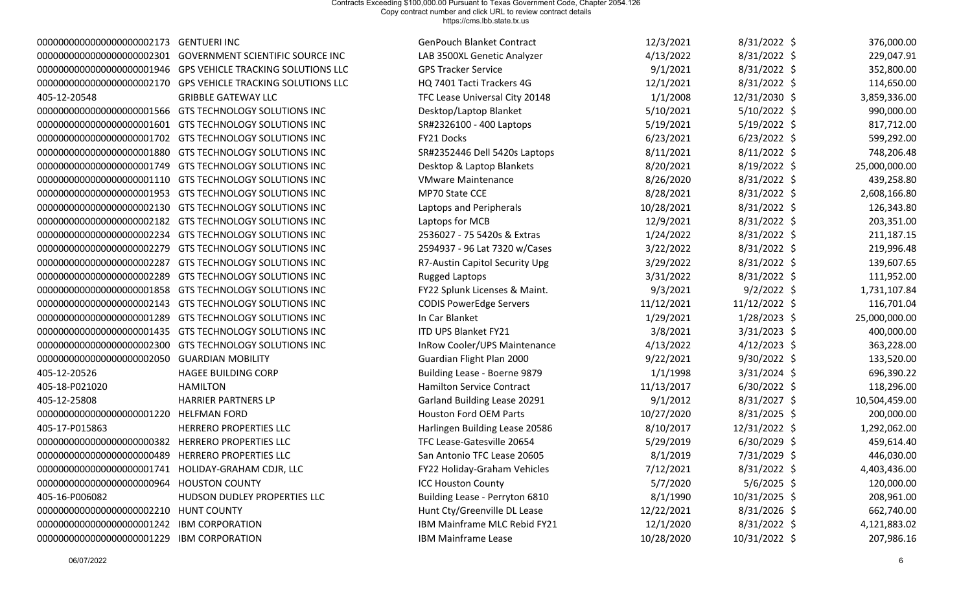| 0000000000000000000002173                            | <b>GENTUERI INC</b>                                           | <b>GenPouch Blanket Contract</b> | 12/3/2021  | 8/31/2022 \$   | 376,000.00    |
|------------------------------------------------------|---------------------------------------------------------------|----------------------------------|------------|----------------|---------------|
| 0000000000000000000002301                            | <b>GOVERNMENT SCIENTIFIC SOURCE INC</b>                       | LAB 3500XL Genetic Analyzer      | 4/13/2022  | 8/31/2022 \$   | 229,047.91    |
|                                                      | 00000000000000000000001946 GPS VEHICLE TRACKING SOLUTIONS LLC | <b>GPS Tracker Service</b>       | 9/1/2021   | 8/31/2022 \$   | 352,800.00    |
| 0000000000000000000002170                            | <b>GPS VEHICLE TRACKING SOLUTIONS LLC</b>                     | HQ 7401 Tacti Trackers 4G        | 12/1/2021  | 8/31/2022 \$   | 114,650.00    |
| 405-12-20548                                         | <b>GRIBBLE GATEWAY LLC</b>                                    | TFC Lease Universal City 20148   | 1/1/2008   | 12/31/2030 \$  | 3,859,336.00  |
| 0000000000000000000001566                            | GTS TECHNOLOGY SOLUTIONS INC                                  | Desktop/Laptop Blanket           | 5/10/2021  | 5/10/2022 \$   | 990,000.00    |
| 00000000000000000000001601                           | GTS TECHNOLOGY SOLUTIONS INC                                  | SR#2326100 - 400 Laptops         | 5/19/2021  | $5/19/2022$ \$ | 817,712.00    |
|                                                      | 00000000000000000000001702 GTS TECHNOLOGY SOLUTIONS INC       | FY21 Docks                       | 6/23/2021  | $6/23/2022$ \$ | 599,292.00    |
| 00000000000000000000001880                           | <b>GTS TECHNOLOGY SOLUTIONS INC</b>                           | SR#2352446 Dell 5420s Laptops    | 8/11/2021  | $8/11/2022$ \$ | 748,206.48    |
| 0000000000000000000001749                            | GTS TECHNOLOGY SOLUTIONS INC                                  | Desktop & Laptop Blankets        | 8/20/2021  | 8/19/2022 \$   | 25,000,000.00 |
| 00000000000000000000001110                           | GTS TECHNOLOGY SOLUTIONS INC                                  | <b>VMware Maintenance</b>        | 8/26/2020  | 8/31/2022 \$   | 439,258.80    |
| 00000000000000000000001953                           | GTS TECHNOLOGY SOLUTIONS INC                                  | MP70 State CCE                   | 8/28/2021  | 8/31/2022 \$   | 2,608,166.80  |
| 0000000000000000000002130                            | <b>GTS TECHNOLOGY SOLUTIONS INC</b>                           | Laptops and Peripherals          | 10/28/2021 | 8/31/2022 \$   | 126,343.80    |
|                                                      | 00000000000000000000002182 GTS TECHNOLOGY SOLUTIONS INC       | Laptops for MCB                  | 12/9/2021  | 8/31/2022 \$   | 203,351.00    |
| 0000000000000000000002234                            | GTS TECHNOLOGY SOLUTIONS INC                                  | 2536027 - 75 5420s & Extras      | 1/24/2022  | 8/31/2022 \$   | 211,187.15    |
| 0000000000000000000002279                            | GTS TECHNOLOGY SOLUTIONS INC                                  | 2594937 - 96 Lat 7320 w/Cases    | 3/22/2022  | 8/31/2022 \$   | 219,996.48    |
| 0000000000000000000002287                            | GTS TECHNOLOGY SOLUTIONS INC                                  | R7-Austin Capitol Security Upg   | 3/29/2022  | 8/31/2022 \$   | 139,607.65    |
| 0000000000000000000002289                            | GTS TECHNOLOGY SOLUTIONS INC                                  | <b>Rugged Laptops</b>            | 3/31/2022  | 8/31/2022 \$   | 111,952.00    |
| 00000000000000000000001858                           | <b>GTS TECHNOLOGY SOLUTIONS INC</b>                           | FY22 Splunk Licenses & Maint.    | 9/3/2021   | $9/2/2022$ \$  | 1,731,107.84  |
| 0000000000000000000002143                            | GTS TECHNOLOGY SOLUTIONS INC                                  | <b>CODIS PowerEdge Servers</b>   | 11/12/2021 | 11/12/2022 \$  | 116,701.04    |
| 0000000000000000000001289                            | <b>GTS TECHNOLOGY SOLUTIONS INC</b>                           | In Car Blanket                   | 1/29/2021  | 1/28/2023 \$   | 25,000,000.00 |
| 00000000000000000000001435                           | GTS TECHNOLOGY SOLUTIONS INC                                  | ITD UPS Blanket FY21             | 3/8/2021   | $3/31/2023$ \$ | 400,000.00    |
| 0000000000000000000002300                            | GTS TECHNOLOGY SOLUTIONS INC                                  | InRow Cooler/UPS Maintenance     | 4/13/2022  | $4/12/2023$ \$ | 363,228.00    |
| 0000000000000000000002050                            | <b>GUARDIAN MOBILITY</b>                                      | Guardian Flight Plan 2000        | 9/22/2021  | 9/30/2022 \$   | 133,520.00    |
| 405-12-20526                                         | HAGEE BUILDING CORP                                           | Building Lease - Boerne 9879     | 1/1/1998   | 3/31/2024 \$   | 696,390.22    |
| 405-18-P021020                                       | <b>HAMILTON</b>                                               | <b>Hamilton Service Contract</b> | 11/13/2017 | $6/30/2022$ \$ | 118,296.00    |
| 405-12-25808                                         | <b>HARRIER PARTNERS LP</b>                                    | Garland Building Lease 20291     | 9/1/2012   | 8/31/2027 \$   | 10,504,459.00 |
| 0000000000000000000001220                            | <b>HELFMAN FORD</b>                                           | <b>Houston Ford OEM Parts</b>    | 10/27/2020 | $8/31/2025$ \$ | 200,000.00    |
| 405-17-P015863                                       | HERRERO PROPERTIES LLC                                        | Harlingen Building Lease 20586   | 8/10/2017  | 12/31/2022 \$  | 1,292,062.00  |
| 0000000000000000000000382                            | <b>HERRERO PROPERTIES LLC</b>                                 | TFC Lease-Gatesville 20654       | 5/29/2019  | 6/30/2029 \$   | 459,614.40    |
| 0000000000000000000000489                            | <b>HERRERO PROPERTIES LLC</b>                                 | San Antonio TFC Lease 20605      | 8/1/2019   | 7/31/2029 \$   | 446,030.00    |
| 000000000000000000000001741 HOLIDAY-GRAHAM CDJR, LLC |                                                               | FY22 Holiday-Graham Vehicles     | 7/12/2021  | $8/31/2022$ \$ | 4,403,436.00  |
| 0000000000000000000000964                            | <b>HOUSTON COUNTY</b>                                         | <b>ICC Houston County</b>        | 5/7/2020   | $5/6/2025$ \$  | 120,000.00    |
| 405-16-P006082                                       | HUDSON DUDLEY PROPERTIES LLC                                  | Building Lease - Perryton 6810   | 8/1/1990   | 10/31/2025 \$  | 208,961.00    |
| 0000000000000000000002210                            | <b>HUNT COUNTY</b>                                            | Hunt Cty/Greenville DL Lease     | 12/22/2021 | $8/31/2026$ \$ | 662,740.00    |
| 0000000000000000000001242                            | <b>IBM CORPORATION</b>                                        | IBM Mainframe MLC Rebid FY21     | 12/1/2020  | 8/31/2022 \$   | 4,121,883.02  |
| 0000000000000000000001229                            | <b>IBM CORPORATION</b>                                        | IBM Mainframe Lease              | 10/28/2020 | 10/31/2022 \$  | 207,986.16    |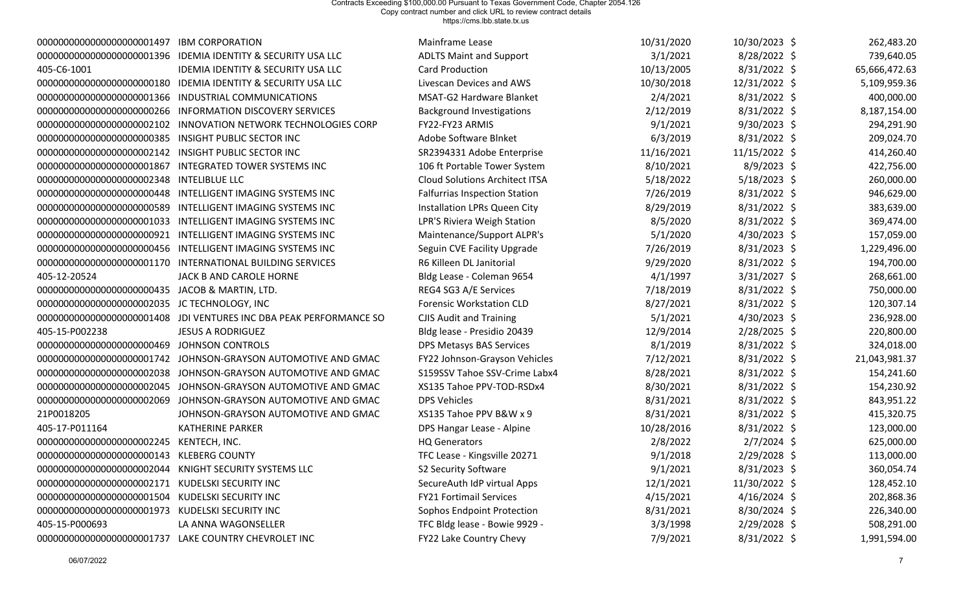| 0000000000000000000001497                  | <b>IBM CORPORATION</b>                                     | Mainframe Lease                       | 10/31/2020 | 10/30/2023 \$  | 262,483.20    |
|--------------------------------------------|------------------------------------------------------------|---------------------------------------|------------|----------------|---------------|
| 00000000000000000000001396                 | <b>IDEMIA IDENTITY &amp; SECURITY USA LLC</b>              | <b>ADLTS Maint and Support</b>        | 3/1/2021   | 8/28/2022 \$   | 739,640.05    |
| 405-C6-1001                                | <b>IDEMIA IDENTITY &amp; SECURITY USA LLC</b>              | <b>Card Production</b>                | 10/13/2005 | $8/31/2022$ \$ | 65,666,472.63 |
|                                            | <b>IDEMIA IDENTITY &amp; SECURITY USA LLC</b>              | Livescan Devices and AWS              | 10/30/2018 | 12/31/2022 \$  | 5,109,959.36  |
| 0000000000000000000001366                  | INDUSTRIAL COMMUNICATIONS                                  | MSAT-G2 Hardware Blanket              | 2/4/2021   | 8/31/2022 \$   | 400,000.00    |
| 0000000000000000000000266                  | <b>INFORMATION DISCOVERY SERVICES</b>                      | <b>Background Investigations</b>      | 2/12/2019  | 8/31/2022 \$   | 8,187,154.00  |
| 0000000000000000000002102                  | INNOVATION NETWORK TECHNOLOGIES CORP                       | FY22-FY23 ARMIS                       | 9/1/2021   | $9/30/2023$ \$ | 294,291.90    |
| 0000000000000000000000385                  | <b>INSIGHT PUBLIC SECTOR INC</b>                           | Adobe Software Blnket                 | 6/3/2019   | 8/31/2022 \$   | 209,024.70    |
| 0000000000000000000002142                  | <b>INSIGHT PUBLIC SECTOR INC</b>                           | SR2394331 Adobe Enterprise            | 11/16/2021 | 11/15/2022 \$  | 414,260.40    |
| 0000000000000000000001867                  | <b>INTEGRATED TOWER SYSTEMS INC</b>                        | 106 ft Portable Tower System          | 8/10/2021  | 8/9/2023 \$    | 422,756.00    |
| 0000000000000000000002348                  | <b>INTELIBLUE LLC</b>                                      | <b>Cloud Solutions Architect ITSA</b> | 5/18/2022  | $5/18/2023$ \$ | 260,000.00    |
| 00000000000000000000000448                 | INTELLIGENT IMAGING SYSTEMS INC                            | <b>Falfurrias Inspection Station</b>  | 7/26/2019  | 8/31/2022 \$   | 946,629.00    |
| 0000000000000000000000589                  | INTELLIGENT IMAGING SYSTEMS INC                            | Installation LPRs Queen City          | 8/29/2019  | 8/31/2022 \$   | 383,639.00    |
| 0000000000000000000001033                  | INTELLIGENT IMAGING SYSTEMS INC                            | LPR'S Riviera Weigh Station           | 8/5/2020   | 8/31/2022 \$   | 369,474.00    |
| 0000000000000000000000921                  | INTELLIGENT IMAGING SYSTEMS INC                            | Maintenance/Support ALPR's            | 5/1/2020   | 4/30/2023 \$   | 157,059.00    |
| 00000000000000000000000456                 | INTELLIGENT IMAGING SYSTEMS INC                            | Seguin CVE Facility Upgrade           | 7/26/2019  | $8/31/2023$ \$ | 1,229,496.00  |
|                                            | 00000000000000000000001170 INTERNATIONAL BUILDING SERVICES | R6 Killeen DL Janitorial              | 9/29/2020  | 8/31/2022 \$   | 194,700.00    |
| 405-12-20524                               | JACK B AND CAROLE HORNE                                    | Bldg Lease - Coleman 9654             | 4/1/1997   | 3/31/2027 \$   | 268,661.00    |
| 00000000000000000000000435                 | JACOB & MARTIN, LTD.                                       | REG4 SG3 A/E Services                 | 7/18/2019  | 8/31/2022 \$   | 750,000.00    |
| 0000000000000000000002035                  | JC TECHNOLOGY, INC                                         | <b>Forensic Workstation CLD</b>       | 8/27/2021  | 8/31/2022 \$   | 120,307.14    |
| 0000000000000000000001408                  | JDI VENTURES INC DBA PEAK PERFORMANCE SO                   | <b>CJIS Audit and Training</b>        | 5/1/2021   | 4/30/2023 \$   | 236,928.00    |
| 405-15-P002238                             | <b>JESUS A RODRIGUEZ</b>                                   | Bldg lease - Presidio 20439           | 12/9/2014  | 2/28/2025 \$   | 220,800.00    |
|                                            | <b>JOHNSON CONTROLS</b>                                    | DPS Metasys BAS Services              | 8/1/2019   | 8/31/2022 \$   | 324,018.00    |
| 00000000000000000000001742                 | JOHNSON-GRAYSON AUTOMOTIVE AND GMAC                        | FY22 Johnson-Grayson Vehicles         | 7/12/2021  | 8/31/2022 \$   | 21,043,981.37 |
| 0000000000000000000002038                  | JOHNSON-GRAYSON AUTOMOTIVE AND GMAC                        | S159SSV Tahoe SSV-Crime Labx4         | 8/28/2021  | 8/31/2022 \$   | 154,241.60    |
| 0000000000000000000002045                  | JOHNSON-GRAYSON AUTOMOTIVE AND GMAC                        | XS135 Tahoe PPV-TOD-RSDx4             | 8/30/2021  | 8/31/2022 \$   | 154,230.92    |
| 0000000000000000000002069                  | JOHNSON-GRAYSON AUTOMOTIVE AND GMAC                        | <b>DPS Vehicles</b>                   | 8/31/2021  | 8/31/2022 \$   | 843,951.22    |
| 21P0018205                                 | JOHNSON-GRAYSON AUTOMOTIVE AND GMAC                        | XS135 Tahoe PPV B&W x 9               | 8/31/2021  | 8/31/2022 \$   | 415,320.75    |
| 405-17-P011164                             | <b>KATHERINE PARKER</b>                                    | DPS Hangar Lease - Alpine             | 10/28/2016 | 8/31/2022 \$   | 123,000.00    |
| 0000000000000000000002245                  | KENTECH, INC.                                              | <b>HQ Generators</b>                  | 2/8/2022   | $2/7/2024$ \$  | 625,000.00    |
| 000000000000000000000000143 KLEBERG COUNTY |                                                            | TFC Lease - Kingsville 20271          | 9/1/2018   | 2/29/2028 \$   | 113,000.00    |
| 0000000000000000000002044                  | KNIGHT SECURITY SYSTEMS LLC                                | S2 Security Software                  | 9/1/2021   | $8/31/2023$ \$ | 360,054.74    |
| 0000000000000000000002171                  | KUDELSKI SECURITY INC                                      | SecureAuth IdP virtual Apps           | 12/1/2021  | 11/30/2022 \$  | 128,452.10    |
| 0000000000000000000001504                  | KUDELSKI SECURITY INC                                      | <b>FY21 Fortimail Services</b>        | 4/15/2021  | $4/16/2024$ \$ | 202,868.36    |
| 000000000000000000000000001973             | KUDELSKI SECURITY INC                                      | Sophos Endpoint Protection            | 8/31/2021  | 8/30/2024 \$   | 226,340.00    |
| 405-15-P000693                             | LA ANNA WAGONSELLER                                        | TFC Bldg lease - Bowie 9929 -         | 3/3/1998   | 2/29/2028 \$   | 508,291.00    |
| 00000000000000000000001737                 | LAKE COUNTRY CHEVROLET INC                                 | FY22 Lake Country Chevy               | 7/9/2021   | 8/31/2022 \$   | 1,991,594.00  |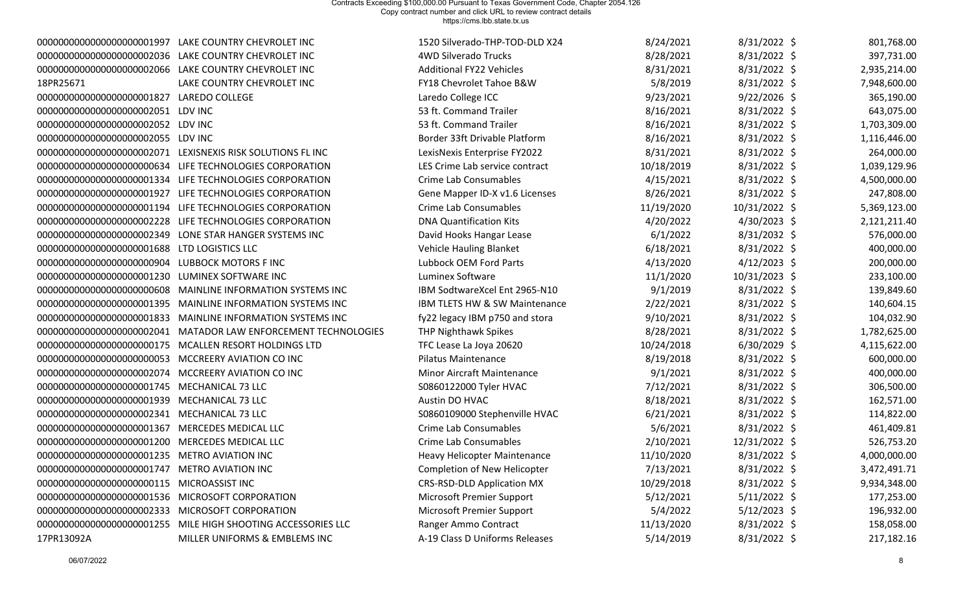| 0000000000000000000001997                               | LAKE COUNTRY CHEVROLET INC                                  | 1520 Silverado-THP-TOD-DLD X24    | 8/24/2021  | $8/31/2022$ \$ | 801,768.00   |
|---------------------------------------------------------|-------------------------------------------------------------|-----------------------------------|------------|----------------|--------------|
|                                                         | 00000000000000000000002036 LAKE COUNTRY CHEVROLET INC       | 4WD Silverado Trucks              | 8/28/2021  | 8/31/2022 \$   | 397,731.00   |
|                                                         | 00000000000000000000002066 LAKE COUNTRY CHEVROLET INC       | <b>Additional FY22 Vehicles</b>   | 8/31/2021  | 8/31/2022 \$   | 2,935,214.00 |
| 18PR25671                                               | LAKE COUNTRY CHEVROLET INC                                  | FY18 Chevrolet Tahoe B&W          | 5/8/2019   | $8/31/2022$ \$ | 7,948,600.00 |
| 0000000000000000000001827                               | <b>LAREDO COLLEGE</b>                                       | Laredo College ICC                | 9/23/2021  | $9/22/2026$ \$ | 365,190.00   |
| 000000000000000000000002051 LDV INC                     |                                                             | 53 ft. Command Trailer            | 8/16/2021  | 8/31/2022 \$   | 643,075.00   |
| 000000000000000000000002052 LDV INC                     |                                                             | 53 ft. Command Trailer            | 8/16/2021  | 8/31/2022 \$   | 1,703,309.00 |
| 000000000000000000000002055 LDV INC                     |                                                             | Border 33ft Drivable Platform     | 8/16/2021  | 8/31/2022 \$   | 1,116,446.00 |
|                                                         | 00000000000000000000002071 LEXISNEXIS RISK SOLUTIONS FL INC | LexisNexis Enterprise FY2022      | 8/31/2021  | 8/31/2022 \$   | 264,000.00   |
|                                                         | 00000000000000000000000634 LIFE TECHNOLOGIES CORPORATION    | LES Crime Lab service contract    | 10/18/2019 | 8/31/2022 \$   | 1,039,129.96 |
|                                                         | 00000000000000000000001334 LIFE TECHNOLOGIES CORPORATION    | <b>Crime Lab Consumables</b>      | 4/15/2021  | 8/31/2022 \$   | 4,500,000.00 |
| 00000000000000000000001927                              | LIFE TECHNOLOGIES CORPORATION                               | Gene Mapper ID-X v1.6 Licenses    | 8/26/2021  | 8/31/2022 \$   | 247,808.00   |
|                                                         | 00000000000000000000001194 LIFE TECHNOLOGIES CORPORATION    | Crime Lab Consumables             | 11/19/2020 | 10/31/2022 \$  | 5,369,123.00 |
|                                                         | 00000000000000000000002228 LIFE TECHNOLOGIES CORPORATION    | <b>DNA Quantification Kits</b>    | 4/20/2022  | $4/30/2023$ \$ | 2,121,211.40 |
| 0000000000000000000002349                               | LONE STAR HANGER SYSTEMS INC                                | David Hooks Hangar Lease          | 6/1/2022   | 8/31/2032 \$   | 576,000.00   |
| 00000000000000000000001688                              | LTD LOGISTICS LLC                                           | <b>Vehicle Hauling Blanket</b>    | 6/18/2021  | 8/31/2022 \$   | 400,000.00   |
| 0000000000000000000000904                               | <b>LUBBOCK MOTORS F INC</b>                                 | Lubbock OEM Ford Parts            | 4/13/2020  | $4/12/2023$ \$ | 200,000.00   |
| 0000000000000000000001230                               | LUMINEX SOFTWARE INC                                        | Luminex Software                  | 11/1/2020  | 10/31/2023 \$  | 233,100.00   |
| 0000000000000000000000608                               | MAINLINE INFORMATION SYSTEMS INC                            | IBM SodtwareXcel Ent 2965-N10     | 9/1/2019   | $8/31/2022$ \$ | 139,849.60   |
| 0000000000000000000001395                               | MAINLINE INFORMATION SYSTEMS INC                            | IBM TLETS HW & SW Maintenance     | 2/22/2021  | 8/31/2022 \$   | 140,604.15   |
| 0000000000000000000001833                               | MAINLINE INFORMATION SYSTEMS INC                            | fy22 legacy IBM p750 and stora    | 9/10/2021  | 8/31/2022 \$   | 104,032.90   |
| 0000000000000000000002041                               | MATADOR LAW ENFORCEMENT TECHNOLOGIES                        | THP Nighthawk Spikes              | 8/28/2021  | 8/31/2022 \$   | 1,782,625.00 |
| 00000000000000000000000175                              | MCALLEN RESORT HOLDINGS LTD                                 | TFC Lease La Joya 20620           | 10/24/2018 | $6/30/2029$ \$ | 4,115,622.00 |
| 000000000000000000000000000053 MCCREERY AVIATION CO INC |                                                             | <b>Pilatus Maintenance</b>        | 8/19/2018  | 8/31/2022 \$   | 600,000.00   |
| 0000000000000000000002074                               | MCCREERY AVIATION CO INC                                    | <b>Minor Aircraft Maintenance</b> | 9/1/2021   | 8/31/2022 \$   | 400,000.00   |
| 00000000000000000000001745                              | <b>MECHANICAL 73 LLC</b>                                    | S0860122000 Tyler HVAC            | 7/12/2021  | 8/31/2022 \$   | 306,500.00   |
| 00000000000000000000001939                              | <b>MECHANICAL 73 LLC</b>                                    | Austin DO HVAC                    | 8/18/2021  | 8/31/2022 \$   | 162,571.00   |
| 0000000000000000000002341                               | <b>MECHANICAL 73 LLC</b>                                    | S0860109000 Stephenville HVAC     | 6/21/2021  | $8/31/2022$ \$ | 114,822.00   |
| 0000000000000000000001367                               | MERCEDES MEDICAL LLC                                        | <b>Crime Lab Consumables</b>      | 5/6/2021   | $8/31/2022$ \$ | 461,409.81   |
| 0000000000000000000001200                               | MERCEDES MEDICAL LLC                                        | Crime Lab Consumables             | 2/10/2021  | 12/31/2022 \$  | 526,753.20   |
| 00000000000000000000001235 METRO AVIATION INC           |                                                             | Heavy Helicopter Maintenance      | 11/10/2020 | $8/31/2022$ \$ | 4,000,000.00 |
| 0000000000000000000001747                               | <b>METRO AVIATION INC</b>                                   | Completion of New Helicopter      | 7/13/2021  | $8/31/2022$ \$ | 3,472,491.71 |
| 0000000000000000000000115                               | <b>MICROASSIST INC</b>                                      | <b>CRS-RSD-DLD Application MX</b> | 10/29/2018 | $8/31/2022$ \$ | 9,934,348.00 |
| 00000000000000000000001536 MICROSOFT CORPORATION        |                                                             | <b>Microsoft Premier Support</b>  | 5/12/2021  | $5/11/2022$ \$ | 177,253.00   |
| 00000000000000000000002333 MICROSOFT CORPORATION        |                                                             | <b>Microsoft Premier Support</b>  | 5/4/2022   | $5/12/2023$ \$ | 196,932.00   |
| 0000000000000000000001255                               | MILE HIGH SHOOTING ACCESSORIES LLC                          | Ranger Ammo Contract              | 11/13/2020 | $8/31/2022$ \$ | 158,058.00   |
| 17PR13092A                                              | MILLER UNIFORMS & EMBLEMS INC                               | A-19 Class D Uniforms Releases    | 5/14/2019  | $8/31/2022$ \$ | 217,182.16   |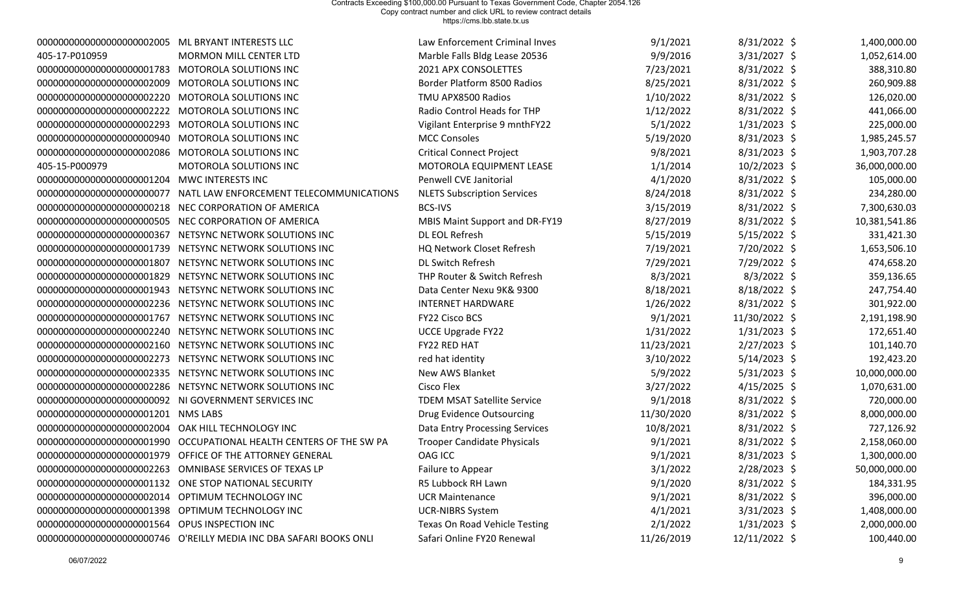| 000000000000000000000002005 ML BRYANT INTERESTS LLC   |                                                                     | Law Enforcement Criminal Inves       | 9/1/2021   | $8/31/2022$ \$ | 1,400,000.00  |
|-------------------------------------------------------|---------------------------------------------------------------------|--------------------------------------|------------|----------------|---------------|
| 405-17-P010959                                        | MORMON MILL CENTER LTD                                              | Marble Falls Bldg Lease 20536        | 9/9/2016   | $3/31/2027$ \$ | 1,052,614.00  |
| 00000000000000000000001783 MOTOROLA SOLUTIONS INC     |                                                                     | 2021 APX CONSOLETTES                 | 7/23/2021  | $8/31/2022$ \$ | 388,310.80    |
| 00000000000000000000002009 MOTOROLA SOLUTIONS INC     |                                                                     | Border Platform 8500 Radios          | 8/25/2021  | $8/31/2022$ \$ | 260,909.88    |
| 00000000000000000000002220 MOTOROLA SOLUTIONS INC     |                                                                     | TMU APX8500 Radios                   | 1/10/2022  | $8/31/2022$ \$ | 126,020.00    |
| 00000000000000000000002222 MOTOROLA SOLUTIONS INC     |                                                                     | Radio Control Heads for THP          | 1/12/2022  | $8/31/2022$ \$ | 441,066.00    |
| 0000000000000000000002293                             | MOTOROLA SOLUTIONS INC                                              | Vigilant Enterprise 9 mnthFY22       | 5/1/2022   | $1/31/2023$ \$ | 225,000.00    |
| 00000000000000000000000940 MOTOROLA SOLUTIONS INC     |                                                                     | <b>MCC Consoles</b>                  | 5/19/2020  | $8/31/2023$ \$ | 1,985,245.57  |
| 00000000000000000000002086 MOTOROLA SOLUTIONS INC     |                                                                     | <b>Critical Connect Project</b>      | 9/8/2021   | $8/31/2023$ \$ | 1,903,707.28  |
| 405-15-P000979                                        | MOTOROLA SOLUTIONS INC                                              | MOTOROLA EQUIPMENT LEASE             | 1/1/2014   | $10/2/2023$ \$ | 36,000,000.00 |
| 00000000000000000000001204 MWC INTERESTS INC          |                                                                     | Penwell CVE Janitorial               | 4/1/2020   | $8/31/2022$ \$ | 105,000.00    |
|                                                       | 00000000000000000000000077 NATL LAW ENFORCEMENT TELECOMMUNICATIONS  | <b>NLETS Subscription Services</b>   | 8/24/2018  | $8/31/2022$ \$ | 234,280.00    |
|                                                       | 00000000000000000000000218 NEC CORPORATION OF AMERICA               | <b>BCS-IVS</b>                       | 3/15/2019  | $8/31/2022$ \$ | 7,300,630.03  |
|                                                       | 000000000000000000000000505 NEC CORPORATION OF AMERICA              | MBIS Maint Support and DR-FY19       | 8/27/2019  | $8/31/2022$ \$ | 10,381,541.86 |
| 0000000000000000000000367                             | NETSYNC NETWORK SOLUTIONS INC                                       | DL EOL Refresh                       | 5/15/2019  | $5/15/2022$ \$ | 331,421.30    |
|                                                       | 00000000000000000000001739 NETSYNC NETWORK SOLUTIONS INC            | HQ Network Closet Refresh            | 7/19/2021  | 7/20/2022 \$   | 1,653,506.10  |
|                                                       | 00000000000000000000001807 NETSYNC NETWORK SOLUTIONS INC            | DL Switch Refresh                    | 7/29/2021  | 7/29/2022 \$   | 474,658.20    |
|                                                       | 000000000000000000000001829 NETSYNC NETWORK SOLUTIONS INC           | THP Router & Switch Refresh          | 8/3/2021   | $8/3/2022$ \$  | 359,136.65    |
|                                                       | 000000000000000000000001943 NETSYNC NETWORK SOLUTIONS INC           | Data Center Nexu 9K& 9300            | 8/18/2021  | $8/18/2022$ \$ | 247,754.40    |
|                                                       | 00000000000000000000002236 NETSYNC NETWORK SOLUTIONS INC            | <b>INTERNET HARDWARE</b>             | 1/26/2022  | $8/31/2022$ \$ | 301,922.00    |
|                                                       | 00000000000000000000001767 NETSYNC NETWORK SOLUTIONS INC            | FY22 Cisco BCS                       | 9/1/2021   | 11/30/2022 \$  | 2,191,198.90  |
|                                                       | 00000000000000000000002240 NETSYNC NETWORK SOLUTIONS INC            | <b>UCCE Upgrade FY22</b>             | 1/31/2022  | $1/31/2023$ \$ | 172,651.40    |
|                                                       | 00000000000000000000002160 NETSYNC NETWORK SOLUTIONS INC            | FY22 RED HAT                         | 11/23/2021 | $2/27/2023$ \$ | 101,140.70    |
|                                                       | 00000000000000000000002273 NETSYNC NETWORK SOLUTIONS INC            | red hat identity                     | 3/10/2022  | $5/14/2023$ \$ | 192,423.20    |
|                                                       | 00000000000000000000002335 NETSYNC NETWORK SOLUTIONS INC            | New AWS Blanket                      | 5/9/2022   | $5/31/2023$ \$ | 10,000,000.00 |
|                                                       | 00000000000000000000002286 NETSYNC NETWORK SOLUTIONS INC            | Cisco Flex                           | 3/27/2022  | $4/15/2025$ \$ | 1,070,631.00  |
|                                                       | 000000000000000000000000092 NI GOVERNMENT SERVICES INC              | <b>TDEM MSAT Satellite Service</b>   | 9/1/2018   | $8/31/2022$ \$ | 720,000.00    |
| 00000000000000000000000001201 NMS LABS                |                                                                     | Drug Evidence Outsourcing            | 11/30/2020 | $8/31/2022$ \$ | 8,000,000.00  |
| 0000000000000000000002004                             | OAK HILL TECHNOLOGY INC                                             | Data Entry Processing Services       | 10/8/2021  | $8/31/2022$ \$ | 727,126.92    |
|                                                       | 00000000000000000000001990 OCCUPATIONAL HEALTH CENTERS OF THE SW PA | <b>Trooper Candidate Physicals</b>   | 9/1/2021   | $8/31/2022$ \$ | 2,158,060.00  |
|                                                       | 00000000000000000000001979 OFFICE OF THE ATTORNEY GENERAL           | <b>OAG ICC</b>                       | 9/1/2021   | $8/31/2023$ \$ | 1,300,000.00  |
|                                                       | 00000000000000000000002263 OMNIBASE SERVICES OF TEXAS LP            | Failure to Appear                    | 3/1/2022   | $2/28/2023$ \$ | 50,000,000.00 |
| 00000000000000000000001132 ONE STOP NATIONAL SECURITY |                                                                     | R5 Lubbock RH Lawn                   | 9/1/2020   | $8/31/2022$ \$ | 184,331.95    |
| 00000000000000000000002014 OPTIMUM TECHNOLOGY INC     |                                                                     | <b>UCR Maintenance</b>               | 9/1/2021   | $8/31/2022$ \$ | 396,000.00    |
| 000000000000000000000001398 OPTIMUM TECHNOLOGY INC    |                                                                     | <b>UCR-NIBRS System</b>              | 4/1/2021   | $3/31/2023$ \$ | 1,408,000.00  |
| 00000000000000000000001564 OPUS INSPECTION INC        |                                                                     | <b>Texas On Road Vehicle Testing</b> | 2/1/2022   | $1/31/2023$ \$ | 2,000,000.00  |
|                                                       | 0000000000000000000000746 O'REILLY MEDIA INC DBA SAFARI BOOKS ONLI  | Safari Online FY20 Renewal           | 11/26/2019 | 12/11/2022 \$  | 100,440.00    |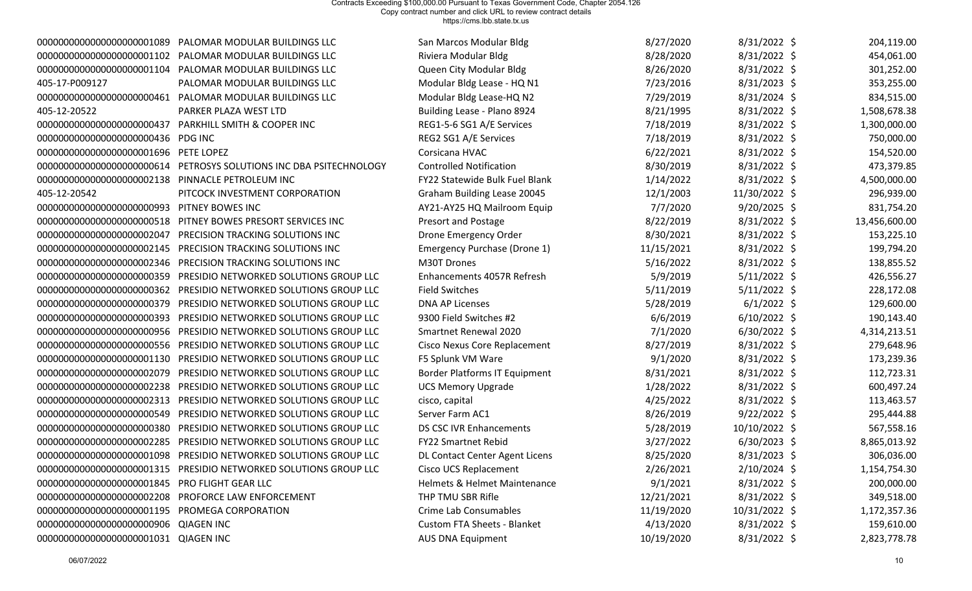| 0000000000000000000001089                      | PALOMAR MODULAR BUILDINGS LLC                                    | San Marcos Modular Bldg            | 8/27/2020  | $8/31/2022$ \$ | 204,119.00    |
|------------------------------------------------|------------------------------------------------------------------|------------------------------------|------------|----------------|---------------|
| 0000000000000000000001102                      | PALOMAR MODULAR BUILDINGS LLC                                    | Riviera Modular Bldg               | 8/28/2020  | 8/31/2022 \$   | 454,061.00    |
| 00000000000000000000001104                     | PALOMAR MODULAR BUILDINGS LLC                                    | Queen City Modular Bldg            | 8/26/2020  | 8/31/2022 \$   | 301,252.00    |
| 405-17-P009127                                 | PALOMAR MODULAR BUILDINGS LLC                                    | Modular Bldg Lease - HQ N1         | 7/23/2016  | 8/31/2023 \$   | 353,255.00    |
| 00000000000000000000000461                     | PALOMAR MODULAR BUILDINGS LLC                                    | Modular Bldg Lease-HQ N2           | 7/29/2019  | 8/31/2024 \$   | 834,515.00    |
| 405-12-20522                                   | PARKER PLAZA WEST LTD                                            | Building Lease - Plano 8924        | 8/21/1995  | 8/31/2022 \$   | 1,508,678.38  |
| 0000000000000000000000437                      | PARKHILL SMITH & COOPER INC                                      | REG1-5-6 SG1 A/E Services          | 7/18/2019  | 8/31/2022 \$   | 1,300,000.00  |
| 0000000000000000000000436                      | <b>PDG INC</b>                                                   | REG2 SG1 A/E Services              | 7/18/2019  | 8/31/2022 \$   | 750,000.00    |
| 0000000000000000000001696                      | PETE LOPEZ                                                       | Corsicana HVAC                     | 6/22/2021  | 8/31/2022 \$   | 154,520.00    |
| 0000000000000000000000614                      | PETROSYS SOLUTIONS INC DBA PSITECHNOLOGY                         | <b>Controlled Notification</b>     | 8/30/2019  | 8/31/2022 \$   | 473,379.85    |
| 0000000000000000000002138                      | PINNACLE PETROLEUM INC                                           | FY22 Statewide Bulk Fuel Blank     | 1/14/2022  | 8/31/2022 \$   | 4,500,000.00  |
| 405-12-20542                                   | PITCOCK INVESTMENT CORPORATION                                   | Graham Building Lease 20045        | 12/1/2003  | 11/30/2022 \$  | 296,939.00    |
| 0000000000000000000000993                      | PITNEY BOWES INC                                                 | AY21-AY25 HQ Mailroom Equip        | 7/7/2020   | $9/20/2025$ \$ | 831,754.20    |
| 0000000000000000000000518                      | PITNEY BOWES PRESORT SERVICES INC                                | Presort and Postage                | 8/22/2019  | 8/31/2022 \$   | 13,456,600.00 |
| 0000000000000000000002047                      | PRECISION TRACKING SOLUTIONS INC                                 | Drone Emergency Order              | 8/30/2021  | 8/31/2022 \$   | 153,225.10    |
| 0000000000000000000002145                      | PRECISION TRACKING SOLUTIONS INC                                 | Emergency Purchase (Drone 1)       | 11/15/2021 | 8/31/2022 \$   | 199,794.20    |
| 0000000000000000000002346                      | PRECISION TRACKING SOLUTIONS INC                                 | M30T Drones                        | 5/16/2022  | 8/31/2022 \$   | 138,855.52    |
| 0000000000000000000000359                      | PRESIDIO NETWORKED SOLUTIONS GROUP LLC                           | Enhancements 4057R Refresh         | 5/9/2019   | $5/11/2022$ \$ | 426,556.27    |
| 0000000000000000000000362                      | PRESIDIO NETWORKED SOLUTIONS GROUP LLC                           | <b>Field Switches</b>              | 5/11/2019  | $5/11/2022$ \$ | 228,172.08    |
| 0000000000000000000000379                      | PRESIDIO NETWORKED SOLUTIONS GROUP LLC                           | <b>DNA AP Licenses</b>             | 5/28/2019  | $6/1/2022$ \$  | 129,600.00    |
| 0000000000000000000000393                      | PRESIDIO NETWORKED SOLUTIONS GROUP LLC                           | 9300 Field Switches #2             | 6/6/2019   | $6/10/2022$ \$ | 190,143.40    |
| 0000000000000000000000956                      | PRESIDIO NETWORKED SOLUTIONS GROUP LLC                           | Smartnet Renewal 2020              | 7/1/2020   | $6/30/2022$ \$ | 4,314,213.51  |
| 0000000000000000000000556                      | PRESIDIO NETWORKED SOLUTIONS GROUP LLC                           | Cisco Nexus Core Replacement       | 8/27/2019  | 8/31/2022 \$   | 279,648.96    |
| 0000000000000000000001130                      | PRESIDIO NETWORKED SOLUTIONS GROUP LLC                           | F5 Splunk VM Ware                  | 9/1/2020   | 8/31/2022 \$   | 173,239.36    |
| 0000000000000000000002079                      | PRESIDIO NETWORKED SOLUTIONS GROUP LLC                           | Border Platforms IT Equipment      | 8/31/2021  | 8/31/2022 \$   | 112,723.31    |
| 0000000000000000000002238                      | PRESIDIO NETWORKED SOLUTIONS GROUP LLC                           | <b>UCS Memory Upgrade</b>          | 1/28/2022  | 8/31/2022 \$   | 600,497.24    |
| 0000000000000000000002313                      | PRESIDIO NETWORKED SOLUTIONS GROUP LLC                           | cisco, capital                     | 4/25/2022  | 8/31/2022 \$   | 113,463.57    |
| 0000000000000000000000549                      | PRESIDIO NETWORKED SOLUTIONS GROUP LLC                           | Server Farm AC1                    | 8/26/2019  | $9/22/2022$ \$ | 295,444.88    |
| 0000000000000000000000380                      | PRESIDIO NETWORKED SOLUTIONS GROUP LLC                           | <b>DS CSC IVR Enhancements</b>     | 5/28/2019  | 10/10/2022 \$  | 567,558.16    |
| 0000000000000000000002285                      | PRESIDIO NETWORKED SOLUTIONS GROUP LLC                           | <b>FY22 Smartnet Rebid</b>         | 3/27/2022  | $6/30/2023$ \$ | 8,865,013.92  |
|                                                |                                                                  | DL Contact Center Agent Licens     | 8/25/2020  | $8/31/2023$ \$ | 306,036.00    |
|                                                | 0000000000000000000001315 PRESIDIO NETWORKED SOLUTIONS GROUP LLC | Cisco UCS Replacement              | 2/26/2021  | $2/10/2024$ \$ | 1,154,754.30  |
| 00000000000000000000001845 PRO FLIGHT GEAR LLC |                                                                  | Helmets & Helmet Maintenance       | 9/1/2021   | 8/31/2022 \$   | 200,000.00    |
|                                                | 00000000000000000000002208 PROFORCE LAW ENFORCEMENT              | THP TMU SBR Rifle                  | 12/21/2021 | 8/31/2022 \$   | 349,518.00    |
| 00000000000000000000001195 PROMEGA CORPORATION |                                                                  | Crime Lab Consumables              | 11/19/2020 | 10/31/2022 \$  | 1,172,357.36  |
| 00000000000000000000000906 QIAGEN INC          |                                                                  | <b>Custom FTA Sheets - Blanket</b> | 4/13/2020  | $8/31/2022$ \$ | 159,610.00    |
| 0000000000000000000000000001031 QIAGEN INC     |                                                                  | <b>AUS DNA Equipment</b>           | 10/19/2020 | 8/31/2022 \$   | 2,823,778.78  |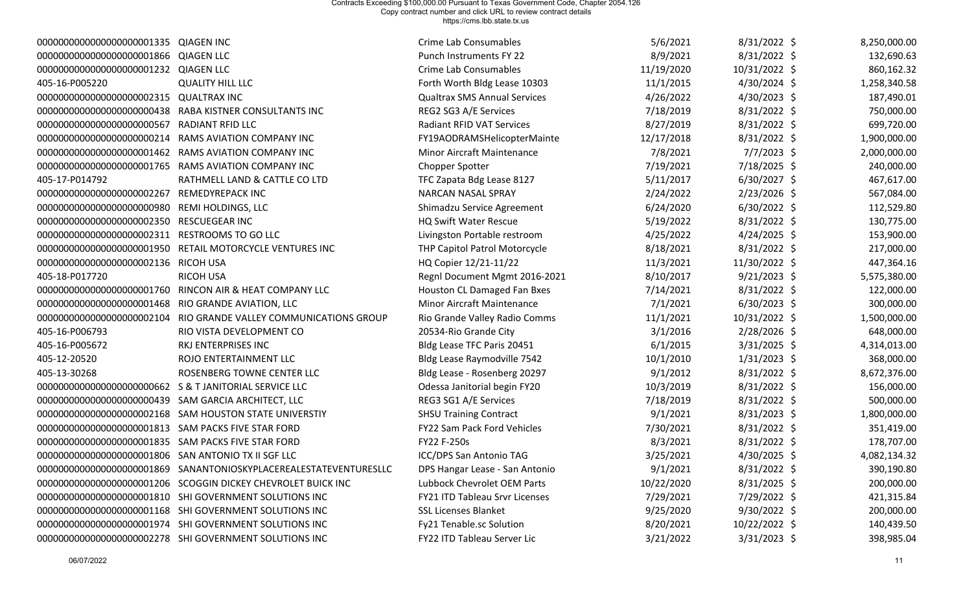| 00000000000000000000001335 QIAGEN INC                   |                                                                   | Crime Lab Consumables                 | 5/6/2021   | $8/31/2022$ \$ | 8,250,000.00 |
|---------------------------------------------------------|-------------------------------------------------------------------|---------------------------------------|------------|----------------|--------------|
| 000000000000000000000001866 QIAGEN LLC                  |                                                                   | <b>Punch Instruments FY 22</b>        | 8/9/2021   | 8/31/2022 \$   | 132,690.63   |
| 000000000000000000000001232 QIAGEN LLC                  |                                                                   | Crime Lab Consumables                 | 11/19/2020 | 10/31/2022 \$  | 860,162.32   |
| 405-16-P005220                                          | <b>QUALITY HILL LLC</b>                                           | Forth Worth Bldg Lease 10303          | 11/1/2015  | $4/30/2024$ \$ | 1,258,340.58 |
| 000000000000000000000002315 QUALTRAX INC                |                                                                   | <b>Qualtrax SMS Annual Services</b>   | 4/26/2022  | $4/30/2023$ \$ | 187,490.01   |
|                                                         | 000000000000000000000000438 RABA KISTNER CONSULTANTS INC          | REG2 SG3 A/E Services                 | 7/18/2019  | 8/31/2022 \$   | 750,000.00   |
| 0000000000000000000000567                               | RADIANT RFID LLC                                                  | <b>Radiant RFID VAT Services</b>      | 8/27/2019  | 8/31/2022 \$   | 699,720.00   |
| 0000000000000000000000214                               | RAMS AVIATION COMPANY INC                                         | FY19AODRAMSHelicopterMainte           | 12/17/2018 | $8/31/2022$ \$ | 1,900,000.00 |
|                                                         | 00000000000000000000001462 RAMS AVIATION COMPANY INC              | <b>Minor Aircraft Maintenance</b>     | 7/8/2021   | $7/7/2023$ \$  | 2,000,000.00 |
|                                                         | 00000000000000000000001765 RAMS AVIATION COMPANY INC              | <b>Chopper Spotter</b>                | 7/19/2021  | $7/18/2025$ \$ | 240,000.00   |
| 405-17-P014792                                          | RATHMELL LAND & CATTLE CO LTD                                     | TFC Zapata Bdg Lease 8127             | 5/11/2017  | $6/30/2027$ \$ | 467,617.00   |
| 0000000000000000000002267                               | REMEDYREPACK INC                                                  | <b>NARCAN NASAL SPRAY</b>             | 2/24/2022  | $2/23/2026$ \$ | 567,084.00   |
| 0000000000000000000000980                               | REMI HOLDINGS, LLC                                                | Shimadzu Service Agreement            | 6/24/2020  | $6/30/2022$ \$ | 112,529.80   |
| 0000000000000000000002350                               | <b>RESCUEGEAR INC</b>                                             | <b>HQ Swift Water Rescue</b>          | 5/19/2022  | 8/31/2022 \$   | 130,775.00   |
| 0000000000000000000002311                               | <b>RESTROOMS TO GO LLC</b>                                        | Livingston Portable restroom          | 4/25/2022  | $4/24/2025$ \$ | 153,900.00   |
|                                                         | 000000000000000000000001950 RETAIL MOTORCYCLE VENTURES INC        | THP Capitol Patrol Motorcycle         | 8/18/2021  | $8/31/2022$ \$ | 217,000.00   |
| 00000000000000000000002136 RICOH USA                    |                                                                   | HQ Copier 12/21-11/22                 | 11/3/2021  | 11/30/2022 \$  | 447,364.16   |
| 405-18-P017720                                          | <b>RICOH USA</b>                                                  | Regnl Document Mgmt 2016-2021         | 8/10/2017  | $9/21/2023$ \$ | 5,575,380.00 |
|                                                         | 00000000000000000000001760 RINCON AIR & HEAT COMPANY LLC          | Houston CL Damaged Fan Bxes           | 7/14/2021  | 8/31/2022 \$   | 122,000.00   |
| 00000000000000000000001468 RIO GRANDE AVIATION, LLC     |                                                                   | <b>Minor Aircraft Maintenance</b>     | 7/1/2021   | $6/30/2023$ \$ | 300,000.00   |
|                                                         | 0000000000000000000002104 RIO GRANDE VALLEY COMMUNICATIONS GROUP  | Rio Grande Valley Radio Comms         | 11/1/2021  | 10/31/2022 \$  | 1,500,000.00 |
| 405-16-P006793                                          | RIO VISTA DEVELOPMENT CO                                          | 20534-Rio Grande City                 | 3/1/2016   | $2/28/2026$ \$ | 648,000.00   |
| 405-16-P005672                                          | RKJ ENTERPRISES INC                                               | Bldg Lease TFC Paris 20451            | 6/1/2015   | $3/31/2025$ \$ | 4,314,013.00 |
| 405-12-20520                                            | ROJO ENTERTAINMENT LLC                                            | Bldg Lease Raymodville 7542           | 10/1/2010  | $1/31/2023$ \$ | 368,000.00   |
| 405-13-30268                                            | ROSENBERG TOWNE CENTER LLC                                        | Bldg Lease - Rosenberg 20297          | 9/1/2012   | 8/31/2022 \$   | 8,672,376.00 |
| 00000000000000000000000662 S & T JANITORIAL SERVICE LLC |                                                                   | Odessa Janitorial begin FY20          | 10/3/2019  | $8/31/2022$ \$ | 156,000.00   |
| 000000000000000000000000439 SAM GARCIA ARCHITECT, LLC   |                                                                   | REG3 SG1 A/E Services                 | 7/18/2019  | 8/31/2022 \$   | 500,000.00   |
|                                                         | 00000000000000000000002168 SAM HOUSTON STATE UNIVERSTIY           | <b>SHSU Training Contract</b>         | 9/1/2021   | $8/31/2023$ \$ | 1,800,000.00 |
| 00000000000000000000001813 SAM PACKS FIVE STAR FORD     |                                                                   | FY22 Sam Pack Ford Vehicles           | 7/30/2021  | 8/31/2022 \$   | 351,419.00   |
| 000000000000000000000001835 SAM PACKS FIVE STAR FORD    |                                                                   | <b>FY22 F-250s</b>                    | 8/3/2021   | 8/31/2022 \$   | 178,707.00   |
| 00000000000000000000001806 SAN ANTONIO TX II SGF LLC    |                                                                   | ICC/DPS San Antonio TAG               | 3/25/2021  | $4/30/2025$ \$ | 4,082,134.32 |
|                                                         | 0000000000000000000001869 SANANTONIOSKYPLACEREALESTATEVENTURESLLC | DPS Hangar Lease - San Antonio        | 9/1/2021   | 8/31/2022 \$   | 390,190.80   |
|                                                         | 0000000000000000000001206 SCOGGIN DICKEY CHEVROLET BUICK INC      | Lubbock Chevrolet OEM Parts           | 10/22/2020 | $8/31/2025$ \$ | 200,000.00   |
|                                                         | 00000000000000000000001810 SHI GOVERNMENT SOLUTIONS INC           | <b>FY21 ITD Tableau Srvr Licenses</b> | 7/29/2021  | 7/29/2022 \$   | 421,315.84   |
|                                                         | 00000000000000000000001168 SHI GOVERNMENT SOLUTIONS INC           | <b>SSL Licenses Blanket</b>           | 9/25/2020  | $9/30/2022$ \$ | 200,000.00   |
|                                                         | 00000000000000000000001974 SHI GOVERNMENT SOLUTIONS INC           | Fy21 Tenable.sc Solution              | 8/20/2021  | 10/22/2022 \$  | 140,439.50   |
|                                                         | 00000000000000000000002278 SHI GOVERNMENT SOLUTIONS INC           | FY22 ITD Tableau Server Lic           | 3/21/2022  | $3/31/2023$ \$ | 398,985.04   |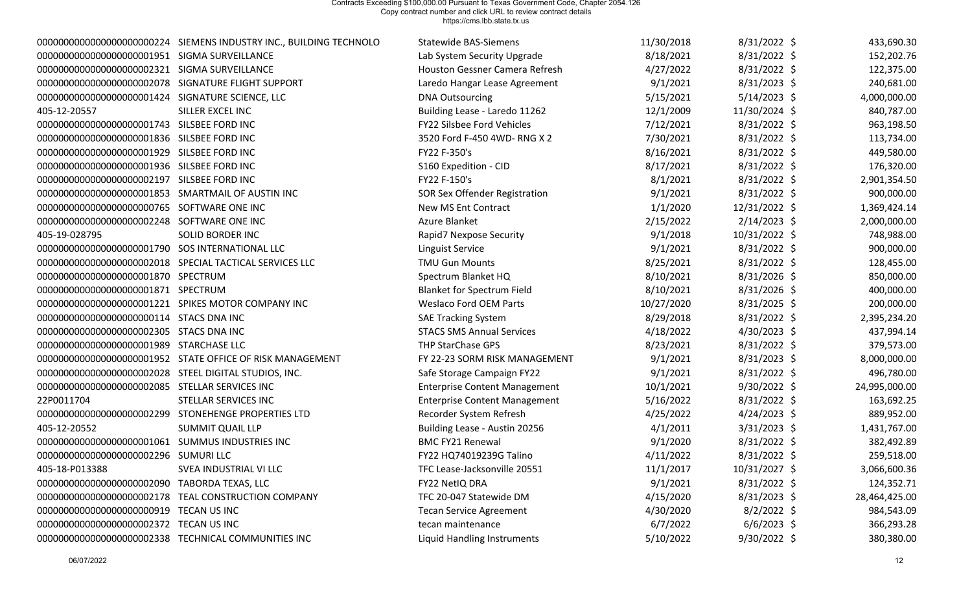|                                                        | 00000000000000000000000224 SIEMENS INDUSTRY INC., BUILDING TECHNOLO | <b>Statewide BAS-Siemens</b>         | 11/30/2018 | $8/31/2022$ \$ | 433,690.30    |
|--------------------------------------------------------|---------------------------------------------------------------------|--------------------------------------|------------|----------------|---------------|
| 000000000000000000000001951 SIGMA SURVEILLANCE         |                                                                     | Lab System Security Upgrade          | 8/18/2021  | 8/31/2022 \$   | 152,202.76    |
| 00000000000000000000002321 SIGMA SURVEILLANCE          |                                                                     | Houston Gessner Camera Refresh       | 4/27/2022  | $8/31/2022$ \$ | 122,375.00    |
| 00000000000000000000002078 SIGNATURE FLIGHT SUPPORT    |                                                                     | Laredo Hangar Lease Agreement        | 9/1/2021   | $8/31/2023$ \$ | 240,681.00    |
| 000000000000000000000001424 SIGNATURE SCIENCE, LLC     |                                                                     | <b>DNA Outsourcing</b>               | 5/15/2021  | $5/14/2023$ \$ | 4,000,000.00  |
| 405-12-20557                                           | SILLER EXCEL INC                                                    | Building Lease - Laredo 11262        | 12/1/2009  | 11/30/2024 \$  | 840,787.00    |
| 00000000000000000000001743 SILSBEE FORD INC            |                                                                     | FY22 Silsbee Ford Vehicles           | 7/12/2021  | 8/31/2022 \$   | 963,198.50    |
| 00000000000000000000001836 SILSBEE FORD INC            |                                                                     | 3520 Ford F-450 4WD-RNG X 2          | 7/30/2021  | 8/31/2022 \$   | 113,734.00    |
| 00000000000000000000001929 SILSBEE FORD INC            |                                                                     | FY22 F-350's                         | 8/16/2021  | $8/31/2022$ \$ | 449,580.00    |
| 00000000000000000000001936 SILSBEE FORD INC            |                                                                     | S160 Expedition - CID                | 8/17/2021  | 8/31/2022 \$   | 176,320.00    |
| 00000000000000000000002197 SILSBEE FORD INC            |                                                                     | FY22 F-150's                         | 8/1/2021   | 8/31/2022 \$   | 2,901,354.50  |
| 00000000000000000000001853 SMARTMAIL OF AUSTIN INC     |                                                                     | SOR Sex Offender Registration        | 9/1/2021   | 8/31/2022 \$   | 900,000.00    |
| 00000000000000000000000765 SOFTWARE ONE INC            |                                                                     | New MS Ent Contract                  | 1/1/2020   | 12/31/2022 \$  | 1,369,424.14  |
| 00000000000000000000002248 SOFTWARE ONE INC            |                                                                     | Azure Blanket                        | 2/15/2022  | $2/14/2023$ \$ | 2,000,000.00  |
| 405-19-028795                                          | <b>SOLID BORDER INC</b>                                             | Rapid7 Nexpose Security              | 9/1/2018   | 10/31/2022 \$  | 748,988.00    |
| 00000000000000000000001790 SOS INTERNATIONAL LLC       |                                                                     | Linguist Service                     | 9/1/2021   | 8/31/2022 \$   | 900,000.00    |
|                                                        | 00000000000000000000002018 SPECIAL TACTICAL SERVICES LLC            | <b>TMU Gun Mounts</b>                | 8/25/2021  | 8/31/2022 \$   | 128,455.00    |
| 000000000000000000000001870 SPECTRUM                   |                                                                     | Spectrum Blanket HQ                  | 8/10/2021  | $8/31/2026$ \$ | 850,000.00    |
| 000000000000000000000001871 SPECTRUM                   |                                                                     | <b>Blanket for Spectrum Field</b>    | 8/10/2021  | $8/31/2026$ \$ | 400,000.00    |
|                                                        | 00000000000000000000001221 SPIKES MOTOR COMPANY INC                 | <b>Weslaco Ford OEM Parts</b>        | 10/27/2020 | $8/31/2025$ \$ | 200,000.00    |
| 0000000000000000000000000114 STACS DNA INC             |                                                                     | <b>SAE Tracking System</b>           | 8/29/2018  | 8/31/2022 \$   | 2,395,234.20  |
| 00000000000000000000002305 STACS DNA INC               |                                                                     | <b>STACS SMS Annual Services</b>     | 4/18/2022  | $4/30/2023$ \$ | 437,994.14    |
| 000000000000000000000001989 STARCHASE LLC              |                                                                     | THP StarChase GPS                    | 8/23/2021  | 8/31/2022 \$   | 379,573.00    |
|                                                        | 00000000000000000000001952 STATE OFFICE OF RISK MANAGEMENT          | FY 22-23 SORM RISK MANAGEMENT        | 9/1/2021   | $8/31/2023$ \$ | 8,000,000.00  |
| 00000000000000000000002028 STEEL DIGITAL STUDIOS, INC. |                                                                     | Safe Storage Campaign FY22           | 9/1/2021   | 8/31/2022 \$   | 496,780.00    |
| 00000000000000000000002085 STELLAR SERVICES INC        |                                                                     | <b>Enterprise Content Management</b> | 10/1/2021  | $9/30/2022$ \$ | 24,995,000.00 |
| 22P0011704                                             | STELLAR SERVICES INC                                                | <b>Enterprise Content Management</b> | 5/16/2022  | 8/31/2022 \$   | 163,692.25    |
|                                                        | 00000000000000000000002299 STONEHENGE PROPERTIES LTD                | Recorder System Refresh              | 4/25/2022  | 4/24/2023 \$   | 889,952.00    |
| 405-12-20552                                           | <b>SUMMIT QUAIL LLP</b>                                             | Building Lease - Austin 20256        | 4/1/2011   | $3/31/2023$ \$ | 1,431,767.00  |
| 00000000000000000000000000001061 SUMMUS INDUSTRIES INC |                                                                     | <b>BMC FY21 Renewal</b>              | 9/1/2020   | 8/31/2022 \$   | 382,492.89    |
| 00000000000000000000002296 SUMURI LLC                  |                                                                     | FY22 HQ74019239G Talino              | 4/11/2022  | $8/31/2022$ \$ | 259,518.00    |
| 405-18-P013388                                         | SVEA INDUSTRIAL VI LLC                                              | TFC Lease-Jacksonville 20551         | 11/1/2017  | 10/31/2027 \$  | 3,066,600.36  |
| 0000000000000000000002090                              | <b>TABORDA TEXAS, LLC</b>                                           | FY22 NetIQ DRA                       | 9/1/2021   | $8/31/2022$ \$ | 124,352.71    |
|                                                        | 00000000000000000000002178 TEAL CONSTRUCTION COMPANY                | TFC 20-047 Statewide DM              | 4/15/2020  | $8/31/2023$ \$ | 28,464,425.00 |
| 00000000000000000000000919 TECAN US INC                |                                                                     | <b>Tecan Service Agreement</b>       | 4/30/2020  | $8/2/2022$ \$  | 984,543.09    |
| 00000000000000000000002372 TECAN US INC                |                                                                     | tecan maintenance                    | 6/7/2022   | $6/6/2023$ \$  | 366,293.28    |
|                                                        | 00000000000000000000002338 TECHNICAL COMMUNITIES INC                | Liquid Handling Instruments          | 5/10/2022  | $9/30/2022$ \$ | 380,380.00    |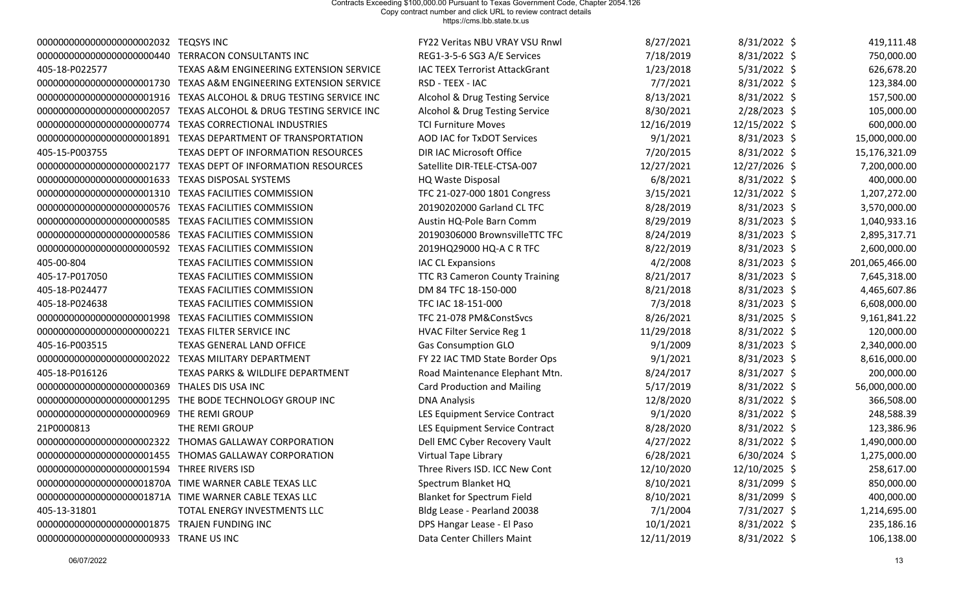| 0000000000000000000002032                      | <b>TEQSYS INC</b>                                       | FY22 Veritas NBU VRAY VSU Rnwl        | 8/27/2021  | 8/31/2022 \$   | 419,111.48     |
|------------------------------------------------|---------------------------------------------------------|---------------------------------------|------------|----------------|----------------|
| 0000000000000000000000440                      | TERRACON CONSULTANTS INC                                | REG1-3-5-6 SG3 A/E Services           | 7/18/2019  | 8/31/2022 \$   | 750,000.00     |
| 405-18-P022577                                 | TEXAS A&M ENGINEERING EXTENSION SERVICE                 | <b>IAC TEEX Terrorist AttackGrant</b> | 1/23/2018  | 5/31/2022 \$   | 626,678.20     |
| 0000000000000000000001730                      | TEXAS A&M ENGINEERING EXTENSION SERVICE                 | RSD - TEEX - IAC                      | 7/7/2021   | 8/31/2022 \$   | 123,384.00     |
| 0000000000000000000001916                      | TEXAS ALCOHOL & DRUG TESTING SERVICE INC                | Alcohol & Drug Testing Service        | 8/13/2021  | 8/31/2022 \$   | 157,500.00     |
| 0000000000000000000002057                      | TEXAS ALCOHOL & DRUG TESTING SERVICE INC                | Alcohol & Drug Testing Service        | 8/30/2021  | 2/28/2023 \$   | 105,000.00     |
| 0000000000000000000000774                      | TEXAS CORRECTIONAL INDUSTRIES                           | <b>TCI Furniture Moves</b>            | 12/16/2019 | 12/15/2022 \$  | 600,000.00     |
| 0000000000000000000001891                      | TEXAS DEPARTMENT OF TRANSPORTATION                      | <b>AOD IAC for TxDOT Services</b>     | 9/1/2021   | 8/31/2023 \$   | 15,000,000.00  |
| 405-15-P003755                                 | TEXAS DEPT OF INFORMATION RESOURCES                     | DIR IAC Microsoft Office              | 7/20/2015  | 8/31/2022 \$   | 15,176,321.09  |
| 0000000000000000000002177                      | TEXAS DEPT OF INFORMATION RESOURCES                     | Satellite DIR-TELE-CTSA-007           | 12/27/2021 | 12/27/2026 \$  | 7,200,000.00   |
| 00000000000000000000001633                     | <b>TEXAS DISPOSAL SYSTEMS</b>                           | <b>HQ Waste Disposal</b>              | 6/8/2021   | 8/31/2022 \$   | 400,000.00     |
| 00000000000000000000001310                     | <b>TEXAS FACILITIES COMMISSION</b>                      | TFC 21-027-000 1801 Congress          | 3/15/2021  | 12/31/2022 \$  | 1,207,272.00   |
| 0000000000000000000000576                      | <b>TEXAS FACILITIES COMMISSION</b>                      | 20190202000 Garland CL TFC            | 8/28/2019  | $8/31/2023$ \$ | 3,570,000.00   |
| 0000000000000000000000585                      | <b>TEXAS FACILITIES COMMISSION</b>                      | Austin HQ-Pole Barn Comm              | 8/29/2019  | 8/31/2023 \$   | 1,040,933.16   |
| 0000000000000000000000586                      | <b>TEXAS FACILITIES COMMISSION</b>                      | 20190306000 BrownsvilleTTC TFC        | 8/24/2019  | 8/31/2023 \$   | 2,895,317.71   |
|                                                | 000000000000000000000000592 TEXAS FACILITIES COMMISSION | 2019HQ29000 HQ-A C R TFC              | 8/22/2019  | 8/31/2023 \$   | 2,600,000.00   |
| 405-00-804                                     | TEXAS FACILITIES COMMISSION                             | <b>IAC CL Expansions</b>              | 4/2/2008   | 8/31/2023 \$   | 201,065,466.00 |
| 405-17-P017050                                 | TEXAS FACILITIES COMMISSION                             | TTC R3 Cameron County Training        | 8/21/2017  | 8/31/2023 \$   | 7,645,318.00   |
| 405-18-P024477                                 | <b>TEXAS FACILITIES COMMISSION</b>                      | DM 84 TFC 18-150-000                  | 8/21/2018  | 8/31/2023 \$   | 4,465,607.86   |
| 405-18-P024638                                 | TEXAS FACILITIES COMMISSION                             | TFC IAC 18-151-000                    | 7/3/2018   | 8/31/2023 \$   | 6,608,000.00   |
| 00000000000000000000001998                     | TEXAS FACILITIES COMMISSION                             | TFC 21-078 PM&ConstSvcs               | 8/26/2021  | 8/31/2025 \$   | 9,161,841.22   |
| 0000000000000000000000221                      | TEXAS FILTER SERVICE INC                                | HVAC Filter Service Reg 1             | 11/29/2018 | 8/31/2022 \$   | 120,000.00     |
| 405-16-P003515                                 | <b>TEXAS GENERAL LAND OFFICE</b>                        | <b>Gas Consumption GLO</b>            | 9/1/2009   | $8/31/2023$ \$ | 2,340,000.00   |
| 0000000000000000000002022                      | TEXAS MILITARY DEPARTMENT                               | FY 22 IAC TMD State Border Ops        | 9/1/2021   | 8/31/2023 \$   | 8,616,000.00   |
| 405-18-P016126                                 | TEXAS PARKS & WILDLIFE DEPARTMENT                       | Road Maintenance Elephant Mtn.        | 8/24/2017  | 8/31/2027 \$   | 200,000.00     |
| 0000000000000000000000369                      | THALES DIS USA INC                                      | <b>Card Production and Mailing</b>    | 5/17/2019  | 8/31/2022 \$   | 56,000,000.00  |
| 0000000000000000000001295                      | THE BODE TECHNOLOGY GROUP INC                           | <b>DNA Analysis</b>                   | 12/8/2020  | 8/31/2022 \$   | 366,508.00     |
| 0000000000000000000000969                      | THE REMI GROUP                                          | LES Equipment Service Contract        | 9/1/2020   | 8/31/2022 \$   | 248,588.39     |
| 21P0000813                                     | THE REMI GROUP                                          | LES Equipment Service Contract        | 8/28/2020  | 8/31/2022 \$   | 123,386.96     |
| 0000000000000000000002322                      | THOMAS GALLAWAY CORPORATION                             | Dell EMC Cyber Recovery Vault         | 4/27/2022  | 8/31/2022 \$   | 1,490,000.00   |
|                                                | 00000000000000000000001455 THOMAS GALLAWAY CORPORATION  | <b>Virtual Tape Library</b>           | 6/28/2021  | $6/30/2024$ \$ | 1,275,000.00   |
| 00000000000000000000001594 THREE RIVERS ISD    |                                                         | Three Rivers ISD. ICC New Cont        | 12/10/2020 | 12/10/2025 \$  | 258,617.00     |
|                                                | 00000000000000000000001870A TIME WARNER CABLE TEXAS LLC | Spectrum Blanket HQ                   | 8/10/2021  | 8/31/2099 \$   | 850,000.00     |
|                                                | 00000000000000000000001871A TIME WARNER CABLE TEXAS LLC | <b>Blanket for Spectrum Field</b>     | 8/10/2021  | 8/31/2099 \$   | 400,000.00     |
| 405-13-31801                                   | TOTAL ENERGY INVESTMENTS LLC                            | Bldg Lease - Pearland 20038           | 7/1/2004   | 7/31/2027 \$   | 1,214,695.00   |
| 000000000000000000000001875 TRAJEN FUNDING INC |                                                         | DPS Hangar Lease - El Paso            | 10/1/2021  | $8/31/2022$ \$ | 235,186.16     |
| 00000000000000000000000933 TRANE US INC        |                                                         | Data Center Chillers Maint            | 12/11/2019 | 8/31/2022 \$   | 106,138.00     |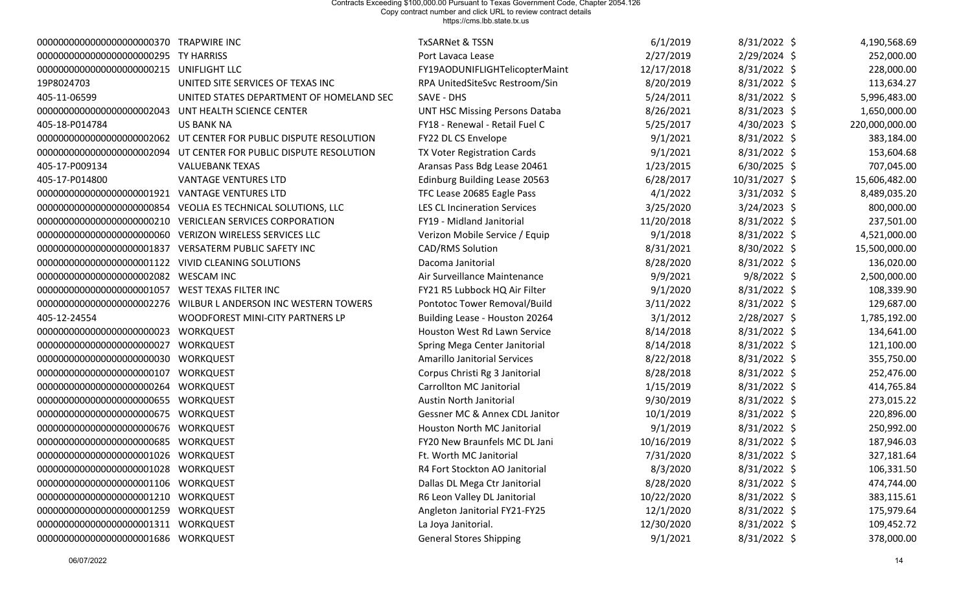| 000000000000000000000000370 TRAPWIRE INC |                                                                    | <b>TxSARNet &amp; TSSN</b>            | 6/1/2019   | $8/31/2022$ \$ | 4,190,568.69   |
|------------------------------------------|--------------------------------------------------------------------|---------------------------------------|------------|----------------|----------------|
| 000000000000000000000000295 TY HARRISS   |                                                                    | Port Lavaca Lease                     | 2/27/2019  | $2/29/2024$ \$ | 252,000.00     |
| 00000000000000000000000215 UNIFLIGHT LLC |                                                                    | FY19AODUNIFLIGHTelicopterMaint        | 12/17/2018 | 8/31/2022 \$   | 228,000.00     |
| 19P8024703                               | UNITED SITE SERVICES OF TEXAS INC                                  | RPA UnitedSiteSvc Restroom/Sin        | 8/20/2019  | 8/31/2022 \$   | 113,634.27     |
| 405-11-06599                             | UNITED STATES DEPARTMENT OF HOMELAND SEC                           | SAVE - DHS                            | 5/24/2011  | 8/31/2022 \$   | 5,996,483.00   |
| 0000000000000000000002043                | UNT HEALTH SCIENCE CENTER                                          | <b>UNT HSC Missing Persons Databa</b> | 8/26/2021  | $8/31/2023$ \$ | 1,650,000.00   |
| 405-18-P014784                           | <b>US BANK NA</b>                                                  | FY18 - Renewal - Retail Fuel C        | 5/25/2017  | $4/30/2023$ \$ | 220,000,000.00 |
|                                          | 00000000000000000000002062 UT CENTER FOR PUBLIC DISPUTE RESOLUTION | FY22 DL CS Envelope                   | 9/1/2021   | 8/31/2022 \$   | 383,184.00     |
|                                          | 00000000000000000000002094 UT CENTER FOR PUBLIC DISPUTE RESOLUTION | TX Voter Registration Cards           | 9/1/2021   | 8/31/2022 \$   | 153,604.68     |
| 405-17-P009134                           | <b>VALUEBANK TEXAS</b>                                             | Aransas Pass Bdg Lease 20461          | 1/23/2015  | $6/30/2025$ \$ | 707,045.00     |
| 405-17-P014800                           | <b>VANTAGE VENTURES LTD</b>                                        | Edinburg Building Lease 20563         | 6/28/2017  | 10/31/2027 \$  | 15,606,482.00  |
| 00000000000000000000001921               | <b>VANTAGE VENTURES LTD</b>                                        | TFC Lease 20685 Eagle Pass            | 4/1/2022   | $3/31/2032$ \$ | 8,489,035.20   |
| 0000000000000000000000854                | VEOLIA ES TECHNICAL SOLUTIONS, LLC                                 | <b>LES CL Incineration Services</b>   | 3/25/2020  | $3/24/2023$ \$ | 800,000.00     |
| 0000000000000000000000210                | <b>VERICLEAN SERVICES CORPORATION</b>                              | FY19 - Midland Janitorial             | 11/20/2018 | 8/31/2022 \$   | 237,501.00     |
|                                          | VERIZON WIRELESS SERVICES LLC                                      | Verizon Mobile Service / Equip        | 9/1/2018   | 8/31/2022 \$   | 4,521,000.00   |
| 0000000000000000000001837                | VERSATERM PUBLIC SAFETY INC                                        | CAD/RMS Solution                      | 8/31/2021  | 8/30/2022 \$   | 15,500,000.00  |
| 00000000000000000000001122               | VIVID CLEANING SOLUTIONS                                           | Dacoma Janitorial                     | 8/28/2020  | 8/31/2022 \$   | 136,020.00     |
| 0000000000000000000002082                | <b>WESCAM INC</b>                                                  | Air Surveillance Maintenance          | 9/9/2021   | $9/8/2022$ \$  | 2,500,000.00   |
| 00000000000000000000001057               | WEST TEXAS FILTER INC                                              | FY21 R5 Lubbock HQ Air Filter         | 9/1/2020   | 8/31/2022 \$   | 108,339.90     |
|                                          |                                                                    | Pontotoc Tower Removal/Build          | 3/11/2022  | $8/31/2022$ \$ | 129,687.00     |
| 405-12-24554                             | WOODFOREST MINI-CITY PARTNERS LP                                   | Building Lease - Houston 20264        | 3/1/2012   | 2/28/2027 \$   | 1,785,192.00   |
| 00000000000000000000000000023            | <b>WORKQUEST</b>                                                   | Houston West Rd Lawn Service          | 8/14/2018  | 8/31/2022 \$   | 134,641.00     |
| 00000000000000000000000000027            | <b>WORKQUEST</b>                                                   | Spring Mega Center Janitorial         | 8/14/2018  | 8/31/2022 \$   | 121,100.00     |
| 00000000000000000000000000030 WORKQUEST  |                                                                    | <b>Amarillo Janitorial Services</b>   | 8/22/2018  | 8/31/2022 \$   | 355,750.00     |
|                                          | <b>WORKQUEST</b>                                                   | Corpus Christi Rg 3 Janitorial        | 8/28/2018  | $8/31/2022$ \$ | 252,476.00     |
| 0000000000000000000000264                | <b>WORKQUEST</b>                                                   | <b>Carrollton MC Janitorial</b>       | 1/15/2019  | 8/31/2022 \$   | 414,765.84     |
| 000000000000000000000000655 WORKQUEST    |                                                                    | Austin North Janitorial               | 9/30/2019  | $8/31/2022$ \$ | 273,015.22     |
| 0000000000000000000000675                | WORKQUEST                                                          | Gessner MC & Annex CDL Janitor        | 10/1/2019  | $8/31/2022$ \$ | 220,896.00     |
| 000000000000000000000000676 WORKQUEST    |                                                                    | Houston North MC Janitorial           | 9/1/2019   | $8/31/2022$ \$ | 250,992.00     |
| 00000000000000000000000685 WORKQUEST     |                                                                    | FY20 New Braunfels MC DL Jani         | 10/16/2019 | 8/31/2022 \$   | 187,946.03     |
| 000000000000000000000001026 WORKQUEST    |                                                                    | Ft. Worth MC Janitorial               | 7/31/2020  | 8/31/2022 \$   | 327,181.64     |
| 00000000000000000000001028 WORKQUEST     |                                                                    | R4 Fort Stockton AO Janitorial        | 8/3/2020   | 8/31/2022 \$   | 106,331.50     |
| 000000000000000000000001106 WORKQUEST    |                                                                    | Dallas DL Mega Ctr Janitorial         | 8/28/2020  | 8/31/2022 \$   | 474,744.00     |
| 000000000000000000000001210 WORKQUEST    |                                                                    | R6 Leon Valley DL Janitorial          | 10/22/2020 | 8/31/2022 \$   | 383,115.61     |
| 00000000000000000000001259 WORKQUEST     |                                                                    | Angleton Janitorial FY21-FY25         | 12/1/2020  | $8/31/2022$ \$ | 175,979.64     |
| 00000000000000000000001311 WORKQUEST     |                                                                    | La Joya Janitorial.                   | 12/30/2020 | 8/31/2022 \$   | 109,452.72     |
| 00000000000000000000001686 WORKQUEST     |                                                                    | <b>General Stores Shipping</b>        | 9/1/2021   | 8/31/2022 \$   | 378,000.00     |